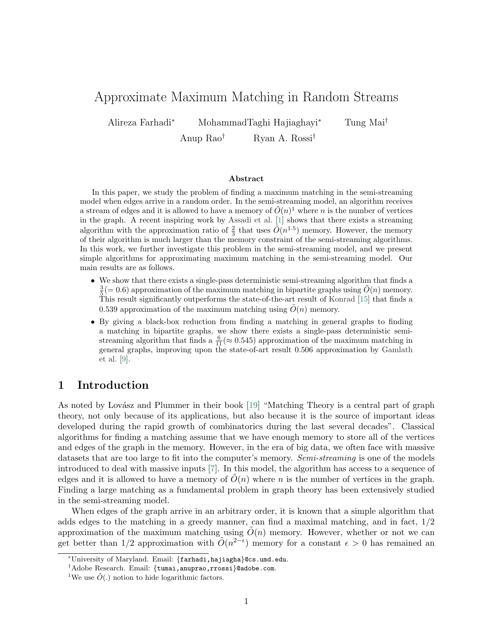# Approximate Maximum Matching in Random Streams

Alireza Farhadi<sup>∗</sup> MohammadTaghi Hajiaghayi<sup>∗</sup> Tung Mai†

Anup Rao† Ryan A. Rossi†

#### Abstract

In this paper, we study the problem of finding a maximum matching in the semi-streaming model when edges arrive in a random order. In the semi-streaming model, an algorithm receives a stream of edges and it is allowed to have a memory of  $\tilde{O}(n)^1$  $\tilde{O}(n)^1$  where n is the number of vertices in the graph. A recent inspiring work by [Assadi et al.](#page-23-0) [\[1\]](#page-23-0) shows that there exists a streaming algorithm with the approximation ratio of  $\frac{2}{3}$  that uses  $\tilde{O}(n^{1.5})$  memory. However, the memory of their algorithm is much larger than the memory constraint of the semi-streaming algorithms. In this work, we further investigate this problem in the semi-streaming model, and we present simple algorithms for approximating maximum matching in the semi-streaming model. Our main results are as follows.

- We show that there exists a single-pass deterministic semi-streaming algorithm that finds a  $\frac{3}{5} (= 0.6)$  approximation of the maximum matching in bipartite graphs using  $\tilde{O}(n)$  memory. This result significantly outperforms the state-of-the-art result of [Konrad](#page-24-0) [\[15\]](#page-24-0) that finds a 0.539 approximation of the maximum matching using  $O(n)$  memory.
- By giving a black-box reduction from finding a matching in general graphs to finding a matching in bipartite graphs, we show there exists a single-pass deterministic semistreaming algorithm that finds a  $\frac{6}{11} (\approx 0.545)$  approximation of the maximum matching in general graphs, improving upon the state-of-art result 0.506 approximation by [Gamlath](#page-24-1) [et al.](#page-24-1) [\[9\]](#page-24-1).

# 1 Introduction

As noted by Lovász and Plummer in their book [\[19\]](#page-25-0) "Matching Theory is a central part of graph theory, not only because of its applications, but also because it is the source of important ideas developed during the rapid growth of combinatorics during the last several decades". Classical algorithms for finding a matching assume that we have enough memory to store all of the vertices and edges of the graph in the memory. However, in the era of big data, we often face with massive datasets that are too large to fit into the computer's memory. Semi-streaming is one of the models introduced to deal with massive inputs [\[7\]](#page-24-2). In this model, the algorithm has access to a sequence of edges and it is allowed to have a memory of  $O(n)$  where n is the number of vertices in the graph. Finding a large matching as a fundamental problem in graph theory has been extensively studied in the semi-streaming model.

When edges of the graph arrive in an arbitrary order, it is known that a simple algorithm that adds edges to the matching in a greedy manner, can find a maximal matching, and in fact,  $1/2$ approximation of the maximum matching using  $\tilde{O}(n)$  memory. However, whether or not we can get better than 1/2 approximation with  $\tilde{O}(n^{2-\epsilon})$  memory for a constant  $\epsilon > 0$  has remained an

<sup>∗</sup>University of Maryland. Email: {farhadi,hajiagha}@cs.umd.edu.

<sup>†</sup>Adobe Research. Email: {tumai,anuprao,rrossi}@adobe.com.

<span id="page-0-0"></span><sup>&</sup>lt;sup>1</sup>We use  $\tilde{O}(.)$  notion to hide logarithmic factors.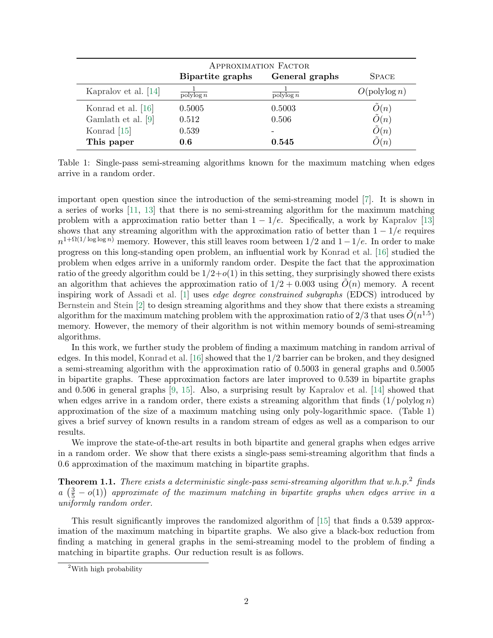<span id="page-1-0"></span>

|                      | <b>APPROXIMATION FACTOR</b>   |                               |                        |
|----------------------|-------------------------------|-------------------------------|------------------------|
|                      | <b>Bipartite graphs</b>       | General graphs                | <b>SPACE</b>           |
| Kapralov et al. [14] | $\overline{\text{polylog }n}$ | $\overline{\text{polylog }n}$ | $O(\text{polylog } n)$ |
| Konrad et al. [16]   | 0.5005                        | 0.5003                        | $\tilde{O}(n)$         |
| Gamlath et al. [9]   | 0.512                         | 0.506                         | O(n)                   |
| Konrad [15]          | 0.539                         |                               | $\tilde{O}(n)$         |
| This paper           | 0.6                           | 0.545                         | O(n)                   |

Table 1: Single-pass semi-streaming algorithms known for the maximum matching when edges arrive in a random order.

important open question since the introduction of the semi-streaming model [\[7\]](#page-24-2). It is shown in a series of works [\[11,](#page-24-5) [13\]](#page-24-6) that there is no semi-streaming algorithm for the maximum matching problem with a approximation ratio better than  $1 - 1/e$ . Specifically, a work by [Kapralov](#page-24-6) [\[13\]](#page-24-6) shows that any streaming algorithm with the approximation ratio of better than  $1 - 1/e$  requires  $n^{1+\Omega(1/\log\log n)}$  memory. However, this still leaves room between  $1/2$  and  $1-1/e$ . In order to make progress on this long-standing open problem, an influential work by [Konrad et al.](#page-24-4) [\[16\]](#page-24-4) studied the problem when edges arrive in a uniformly random order. Despite the fact that the approximation ratio of the greedy algorithm could be  $1/2+o(1)$  in this setting, they surprisingly showed there exists an algorithm that achieves the approximation ratio of  $1/2 + 0.003$  using  $O(n)$  memory. A recent inspiring work of [Assadi et al.](#page-23-0) [\[1\]](#page-23-0) uses edge degree constrained subgraphs (EDCS) introduced by [Bernstein and Stein](#page-23-1) [\[2\]](#page-23-1) to design streaming algorithms and they show that there exists a streaming algorithm for the maximum matching problem with the approximation ratio of 2/3 that uses  $\tilde{O}(n^{1.5})$ memory. However, the memory of their algorithm is not within memory bounds of semi-streaming algorithms.

In this work, we further study the problem of finding a maximum matching in random arrival of edges. In this model, [Konrad et al.](#page-24-4) [\[16\]](#page-24-4) showed that the 1/2 barrier can be broken, and they designed a semi-streaming algorithm with the approximation ratio of 0.5003 in general graphs and 0.5005 in bipartite graphs. These approximation factors are later improved to 0.539 in bipartite graphs and 0.506 in general graphs [\[9,](#page-24-1) [15\]](#page-24-0). Also, a surprising result by [Kapralov et al.](#page-24-3) [\[14\]](#page-24-3) showed that when edges arrive in a random order, there exists a streaming algorithm that finds  $(1/\text{polylog } n)$ approximation of the size of a maximum matching using only poly-logarithmic space. (Table [1\)](#page-1-0) gives a brief survey of known results in a random stream of edges as well as a comparison to our results.

We improve the state-of-the-art results in both bipartite and general graphs when edges arrive in a random order. We show that there exists a single-pass semi-streaming algorithm that finds a 0.6 approximation of the maximum matching in bipartite graphs.

<span id="page-1-2"></span>**Theorem 1.1.** There exists a deterministic single-pass semi-streaming algorithm that w.h.p.<sup>[2](#page-1-1)</sup> finds  $a\left(\frac{3}{5}-o(1)\right)$  approximate of the maximum matching in bipartite graphs when edges arrive in a uniformly random order.

This result significantly improves the randomized algorithm of [\[15\]](#page-24-0) that finds a 0.539 approximation of the maximum matching in bipartite graphs. We also give a black-box reduction from finding a matching in general graphs in the semi-streaming model to the problem of finding a matching in bipartite graphs. Our reduction result is as follows.

<span id="page-1-1"></span><sup>2</sup>With high probability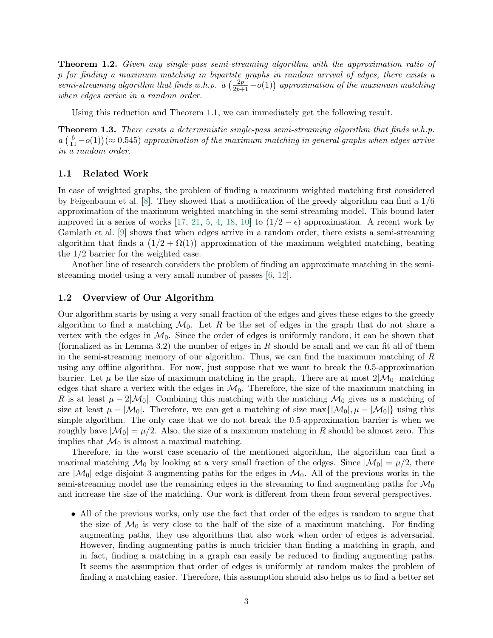**Theorem 1.2.** Given any single-pass semi-streaming algorithm with the approximation ratio of p for finding a maximum matching in bipartite graphs in random arrival of edges, there exists a  $semi-streaming algorithm that finds w.h.p.$   $a\left(\frac{2p}{2p+1}-o(1)\right)$  approximation of the maximum matching when edges arrive in a random order.

Using this reduction and Theorem [1.1,](#page-1-2) we can immediately get the following result.

Theorem 1.3. There exists a deterministic single-pass semi-streaming algorithm that finds w.h.p.  $a\left(\frac{6}{11}-o(1)\right)$  ( $\approx 0.545$ ) approximation of the maximum matching in general graphs when edges arrive in a random order.

#### 1.1 Related Work

In case of weighted graphs, the problem of finding a maximum weighted matching first considered by [Feigenbaum et al.](#page-24-7) [\[8\]](#page-24-7). They showed that a modification of the greedy algorithm can find a 1/6 approximation of the maximum weighted matching in the semi-streaming model. This bound later improved in a series of works [\[17,](#page-24-8) [21,](#page-25-1) [5,](#page-23-2) [4,](#page-23-3) [18,](#page-24-9) [10\]](#page-24-10) to  $(1/2 - \epsilon)$  approximation. A recent work by [Gamlath et al.](#page-24-1) [\[9\]](#page-24-1) shows that when edges arrive in a random order, there exists a semi-streaming algorithm that finds a  $(1/2 + \Omega(1))$  approximation of the maximum weighted matching, beating the 1/2 barrier for the weighted case.

Another line of research considers the problem of finding an approximate matching in the semistreaming model using a very small number of passes [\[6,](#page-23-4) [12\]](#page-24-11).

#### 1.2 Overview of Our Algorithm

Our algorithm starts by using a very small fraction of the edges and gives these edges to the greedy algorithm to find a matching  $\mathcal{M}_0$ . Let R be the set of edges in the graph that do not share a vertex with the edges in  $\mathcal{M}_0$ . Since the order of edges is uniformly random, it can be shown that (formalized as in Lemma [3.2\)](#page-5-0) the number of edges in  $R$  should be small and we can fit all of them in the semi-streaming memory of our algorithm. Thus, we can find the maximum matching of R using any offline algorithm. For now, just suppose that we want to break the 0.5-approximation barrier. Let  $\mu$  be the size of maximum matching in the graph. There are at most  $2|\mathcal{M}_0|$  matching edges that share a vertex with the edges in  $\mathcal{M}_0$ . Therefore, the size of the maximum matching in R is at least  $\mu - 2|\mathcal{M}_0|$ . Combining this matching with the matching  $\mathcal{M}_0$  gives us a matching of size at least  $\mu - |\mathcal{M}_0|$ . Therefore, we can get a matching of size max $\{|\mathcal{M}_0|, \mu - |\mathcal{M}_0|\}$  using this simple algorithm. The only case that we do not break the 0.5-approximation barrier is when we roughly have  $|\mathcal{M}_0| = \mu/2$ . Also, the size of a maximum matching in R should be almost zero. This implies that  $\mathcal{M}_0$  is almost a maximal matching.

Therefore, in the worst case scenario of the mentioned algorithm, the algorithm can find a maximal matching  $\mathcal{M}_0$  by looking at a very small fraction of the edges. Since  $|\mathcal{M}_0| = \mu/2$ , there are  $|\mathcal{M}_0|$  edge disjoint 3-augmenting paths for the edges in  $\mathcal{M}_0$ . All of the previous works in the semi-streaming model use the remaining edges in the streaming to find augmenting paths for  $\mathcal{M}_0$ and increase the size of the matching. Our work is different from them from several perspectives.

• All of the previous works, only use the fact that order of the edges is random to argue that the size of  $\mathcal{M}_0$  is very close to the half of the size of a maximum matching. For finding augmenting paths, they use algorithms that also work when order of edges is adversarial. However, finding augmenting paths is much trickier than finding a matching in graph, and in fact, finding a matching in a graph can easily be reduced to finding augmenting paths. It seems the assumption that order of edges is uniformly at random makes the problem of finding a matching easier. Therefore, this assumption should also helps us to find a better set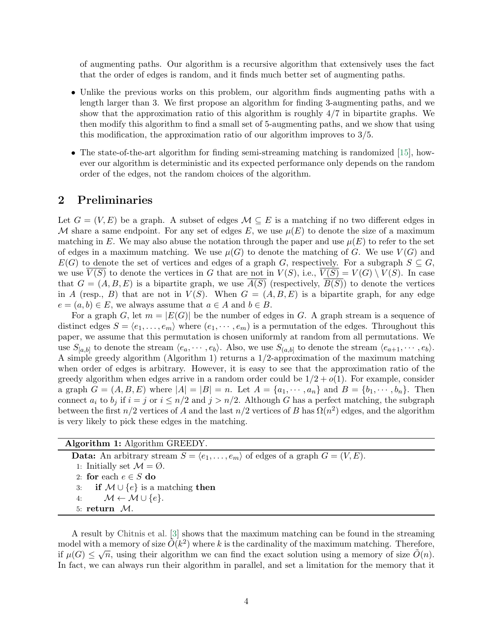of augmenting paths. Our algorithm is a recursive algorithm that extensively uses the fact that the order of edges is random, and it finds much better set of augmenting paths.

- Unlike the previous works on this problem, our algorithm finds augmenting paths with a length larger than 3. We first propose an algorithm for finding 3-augmenting paths, and we show that the approximation ratio of this algorithm is roughly 4/7 in bipartite graphs. We then modify this algorithm to find a small set of 5-augmenting paths, and we show that using this modification, the approximation ratio of our algorithm improves to 3/5.
- The state-of-the-art algorithm for finding semi-streaming matching is randomized [\[15\]](#page-24-0), however our algorithm is deterministic and its expected performance only depends on the random order of the edges, not the random choices of the algorithm.

### 2 Preliminaries

Let  $G = (V, E)$  be a graph. A subset of edges  $\mathcal{M} \subseteq E$  is a matching if no two different edges in M share a same endpoint. For any set of edges E, we use  $\mu(E)$  to denote the size of a maximum matching in E. We may also abuse the notation through the paper and use  $\mu(E)$  to refer to the set of edges in a maximum matching. We use  $\mu(G)$  to denote the matching of G. We use  $V(G)$  and  $E(G)$  to denote the set of vertices and edges of a graph G, respectively. For a subgraph  $S \subseteq G$ , we use  $V(S)$  to denote the vertices in G that are not in  $V(S)$ , i.e.,  $V(S) = V(G) \setminus V(S)$ . In case that  $G = (A, B, E)$  is a bipartite graph, we use  $\overline{A(S)}$  (respectively,  $\overline{B(S)}$ ) to denote the vertices in A (resp., B) that are not in  $V(S)$ . When  $G = (A, B, E)$  is a bipartite graph, for any edge  $e = (a, b) \in E$ , we always assume that  $a \in A$  and  $b \in B$ .

For a graph G, let  $m = |E(G)|$  be the number of edges in G. A graph stream is a sequence of distinct edges  $S = \langle e_1, \ldots, e_m \rangle$  where  $(e_1, \cdots, e_m)$  is a permutation of the edges. Throughout this paper, we assume that this permutation is chosen uniformly at random from all permutations. We use  $S_{[a,b]}$  to denote the stream  $\langle e_a, \dots, e_b \rangle$ . Also, we use  $S_{(a,b]}$  to denote the stream  $\langle e_{a+1}, \dots, e_b \rangle$ . A simple greedy algorithm (Algorithm [1\)](#page-3-0) returns a 1/2-approximation of the maximum matching when order of edges is arbitrary. However, it is easy to see that the approximation ratio of the greedy algorithm when edges arrive in a random order could be  $1/2 + o(1)$ . For example, consider a graph  $G = (A, B, E)$  where  $|A| = |B| = n$ . Let  $A = \{a_1, \dots, a_n\}$  and  $B = \{b_1, \dots, b_n\}$ . Then connect  $a_i$  to  $b_j$  if  $i = j$  or  $i \leq n/2$  and  $j > n/2$ . Although G has a perfect matching, the subgraph between the first  $n/2$  vertices of A and the last  $n/2$  vertices of B has  $\Omega(n^2)$  edges, and the algorithm is very likely to pick these edges in the matching.

| <b>Data:</b> An arbitrary stream $S = \langle e_1, \ldots, e_m \rangle$ of edges of a graph $G = (V, E)$ . |
|------------------------------------------------------------------------------------------------------------|
| 1: Initially set $\mathcal{M} = \emptyset$ .                                                               |
| 2: for each $e \in S$ do                                                                                   |
| 3: if $M \cup \{e\}$ is a matching then                                                                    |
| 4: $\mathcal{M} \leftarrow \mathcal{M} \cup \{e\}.$                                                        |
| 5: return $\mathcal{M}$ .                                                                                  |

<span id="page-3-0"></span>A result by [Chitnis et al.](#page-23-5) [\[3\]](#page-23-5) shows that the maximum matching can be found in the streaming model with a memory of size  $\tilde{O}(k^2)$  where k is the cardinality of the maximum matching. Therefore, if  $\mu(G) \leq \sqrt{n}$ , using their algorithm we can find the exact solution using a memory of size  $\tilde{O}(n)$ . In fact, we can always run their algorithm in parallel, and set a limitation for the memory that it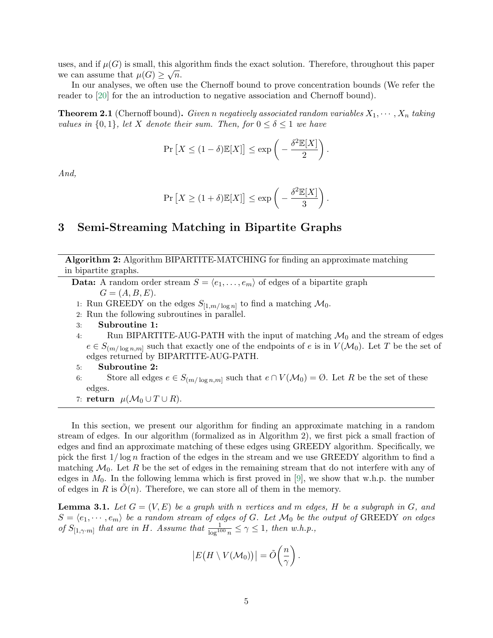uses, and if  $\mu(G)$  is small, this algorithm finds the exact solution. Therefore, throughout this paper we can assume that  $\mu(G) \geq \sqrt{n}$ .

In our analyses, we often use the Chernoff bound to prove concentration bounds (We refer the reader to [\[20\]](#page-25-2) for the an introduction to negative association and Chernoff bound).

**Theorem 2.1** (Chernoff bound). Given n negatively associated random variables  $X_1, \dots, X_n$  taking values in  $\{0,1\}$ , let X denote their sum. Then, for  $0 \le \delta \le 1$  we have

$$
\Pr\left[X \le (1 - \delta)\mathbb{E}[X]\right] \le \exp\left(-\frac{\delta^2 \mathbb{E}[X]}{2}\right)
$$

.

.

And,

$$
\Pr\left[X \ge (1+\delta)\mathbb{E}[X]\right] \le \exp\left(-\frac{\delta^2 \mathbb{E}[X]}{3}\right)
$$

# 3 Semi-Streaming Matching in Bipartite Graphs

Algorithm 2: Algorithm BIPARTITE-MATCHING for finding an approximate matching in bipartite graphs.

**Data:** A random order stream  $S = \langle e_1, \ldots, e_m \rangle$  of edges of a bipartite graph  $G = (A, B, E).$ 

- 1: Run GREEDY on the edges  $S_{[1,m/\log n]}$  to find a matching  $\mathcal{M}_0$ .
- 2: Run the following subroutines in parallel.
- 3: Subroutine 1:
- 4: Run BIPARTITE-AUG-PATH with the input of matching  $\mathcal{M}_0$  and the stream of edges  $e \in S_{(m/\log n,m]}$  such that exactly one of the endpoints of e is in  $V(\mathcal{M}_0)$ . Let T be the set of edges returned by BIPARTITE-AUG-PATH.
- 5: Subroutine 2:
- 6: Store all edges  $e \in S_{(m/\log n,m]}$  such that  $e \cap V(\mathcal{M}_0) = \emptyset$ . Let R be the set of these edges.
- <span id="page-4-0"></span>7: return  $\mu(\mathcal{M}_0 \cup T \cup R)$ .

In this section, we present our algorithm for finding an approximate matching in a random stream of edges. In our algorithm (formalized as in Algorithm [2\)](#page-4-0), we first pick a small fraction of edges and find an approximate matching of these edges using GREEDY algorithm. Specifically, we pick the first  $1/\log n$  fraction of the edges in the stream and we use GREEDY algorithm to find a matching  $\mathcal{M}_0$ . Let R be the set of edges in the remaining stream that do not interfere with any of edges in  $M_0$ . In the following lemma which is first proved in [\[9\]](#page-24-1), we show that w.h.p. the number of edges in R is  $O(n)$ . Therefore, we can store all of them in the memory.

<span id="page-4-1"></span>**Lemma 3.1.** Let  $G = (V, E)$  be a graph with n vertices and m edges, H be a subgraph in G, and  $S = \langle e_1, \dots, e_m \rangle$  be a random stream of edges of G. Let  $\mathcal{M}_0$  be the output of GREEDY on edges of  $S_{[1,\gamma\cdot m]}$  that are in H. Assume that  $\frac{1}{\log^{100} n} \leq \gamma \leq 1$ , then w.h.p.,

$$
|E(H \setminus V(\mathcal{M}_0))| = \tilde{O}\left(\frac{n}{\gamma}\right).
$$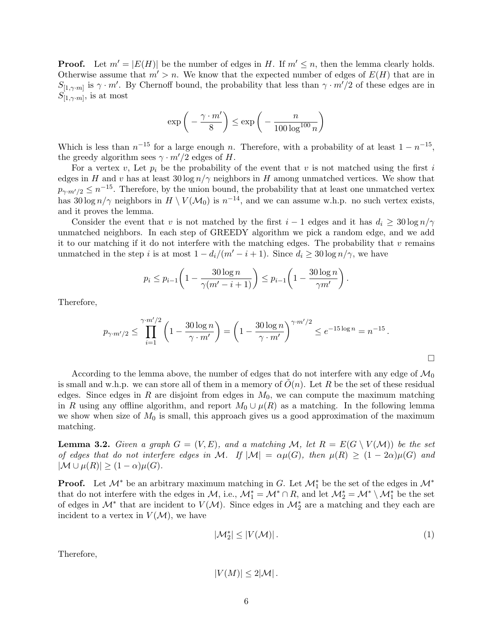**Proof.** Let  $m' = |E(H)|$  be the number of edges in H. If  $m' \leq n$ , then the lemma clearly holds. Otherwise assume that  $m' > n$ . We know that the expected number of edges of  $E(H)$  that are in  $S_{[1,\gamma,m]}$  is  $\gamma \cdot m'$ . By Chernoff bound, the probability that less than  $\gamma \cdot m'/2$  of these edges are in  $S_{[1,\gamma\cdot m]}$ , is at most

$$
\exp\bigg(-\frac{\gamma \cdot m'}{8}\bigg) \le \exp\bigg(-\frac{n}{100 \log^{100} n}\bigg)
$$

Which is less than  $n^{-15}$  for a large enough n. Therefore, with a probability of at least  $1 - n^{-15}$ , the greedy algorithm sees  $\gamma \cdot m'/2$  edges of H.

For a vertex v, Let  $p_i$  be the probability of the event that v is not matched using the first i edges in H and v has at least  $30 \log n / \gamma$  neighbors in H among unmatched vertices. We show that  $p_{\gamma m'/2} \leq n^{-15}$ . Therefore, by the union bound, the probability that at least one unmatched vertex has  $30 \log n/\gamma$  neighbors in  $H \setminus V(\mathcal{M}_0)$  is  $n^{-14}$ , and we can assume w.h.p. no such vertex exists, and it proves the lemma.

Consider the event that v is not matched by the first  $i - 1$  edges and it has  $d_i \geq 30 \log n / \gamma$ unmatched neighbors. In each step of GREEDY algorithm we pick a random edge, and we add it to our matching if it do not interfere with the matching edges. The probability that  $v$  remains unmatched in the step i is at most  $1 - d_i/(m'-i+1)$ . Since  $d_i \geq 30 \log n/\gamma$ , we have

$$
p_i \le p_{i-1} \left( 1 - \frac{30 \log n}{\gamma (m' - i + 1)} \right) \le p_{i-1} \left( 1 - \frac{30 \log n}{\gamma m'} \right).
$$

Therefore,

$$
p_{\gamma \cdot m'/2} \le \prod_{i=1}^{\gamma \cdot m'/2} \left(1 - \frac{30 \log n}{\gamma \cdot m'}\right) = \left(1 - \frac{30 \log n}{\gamma \cdot m'}\right)^{\gamma \cdot m'/2} \le e^{-15 \log n} = n^{-15}.
$$

According to the lemma above, the number of edges that do not interfere with any edge of  $\mathcal{M}_0$ is small and w.h.p. we can store all of them in a memory of  $O(n)$ . Let R be the set of these residual edges. Since edges in R are disjoint from edges in  $M_0$ , we can compute the maximum matching in R using any offline algorithm, and report  $M_0 \cup \mu(R)$  as a matching. In the following lemma we show when size of  $M_0$  is small, this approach gives us a good approximation of the maximum matching.

<span id="page-5-0"></span>**Lemma 3.2.** Given a graph  $G = (V, E)$ , and a matching M, let  $R = E(G \setminus V(\mathcal{M}))$  be the set of edges that do not interfere edges in M. If  $|M| = \alpha \mu(G)$ , then  $\mu(R) \ge (1 - 2\alpha)\mu(G)$  and  $|\mathcal{M} \cup \mu(R)| \geq (1-\alpha)\mu(G).$ 

**Proof.** Let  $\mathcal{M}^*$  be an arbitrary maximum matching in G. Let  $\mathcal{M}_1^*$  be the set of the edges in  $\mathcal{M}^*$ that do not interfere with the edges in  $M$ , i.e.,  $\mathcal{M}_1^* = \mathcal{M}^* \cap R$ , and let  $\mathcal{M}_2^* = \mathcal{M}^* \setminus \mathcal{M}_1^*$  be the set of edges in  $\mathcal{M}^*$  that are incident to  $V(\mathcal{M})$ . Since edges in  $\mathcal{M}_2^*$  are a matching and they each are incident to a vertex in  $V(\mathcal{M})$ , we have

<span id="page-5-1"></span>
$$
|\mathcal{M}_2^*| \le |V(\mathcal{M})| \,. \tag{1}
$$

Therefore,

$$
|V(M)| \leq 2|\mathcal{M}|.
$$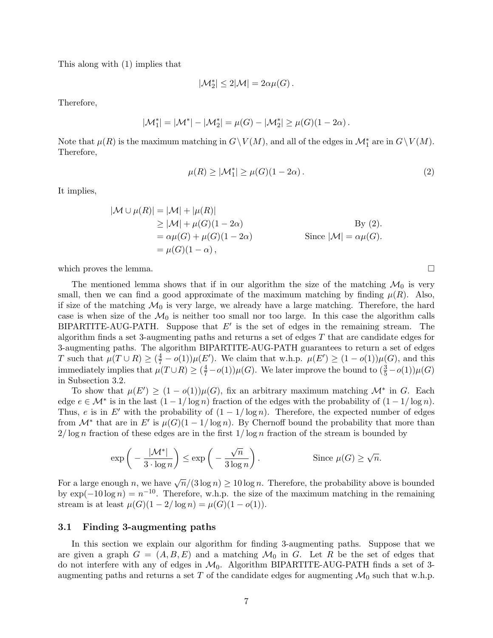This along with [\(1\)](#page-5-1) implies that

$$
|\mathcal{M}_2^*| \leq 2|\mathcal{M}| = 2\alpha \mu(G) \,.
$$

Therefore,

$$
|\mathcal{M}_{1}^{*}| = |\mathcal{M}^{*}| - |\mathcal{M}_{2}^{*}| = \mu(G) - |\mathcal{M}_{2}^{*}| \geq \mu(G)(1 - 2\alpha).
$$

Note that  $\mu(R)$  is the maximum matching in  $G\setminus V(M)$ , and all of the edges in  $\mathcal{M}_1^*$  are in  $G\setminus V(M)$ . Therefore,

<span id="page-6-0"></span>
$$
\mu(R) \ge |\mathcal{M}_1^*| \ge \mu(G)(1 - 2\alpha). \tag{2}
$$

It implies,

$$
|\mathcal{M} \cup \mu(R)| = |\mathcal{M}| + |\mu(R)|
$$
  
\n
$$
\geq |\mathcal{M}| + \mu(G)(1 - 2\alpha)
$$
  
\n
$$
= \alpha \mu(G) + \mu(G)(1 - 2\alpha)
$$
  
\n
$$
= \mu(G)(1 - \alpha),
$$
  
\nSince  $|\mathcal{M}| = \alpha \mu(G).$ 

which proves the lemma.  $\Box$ 

The mentioned lemma shows that if in our algorithm the size of the matching  $\mathcal{M}_0$  is very small, then we can find a good approximate of the maximum matching by finding  $\mu(R)$ . Also, if size of the matching  $\mathcal{M}_0$  is very large, we already have a large matching. Therefore, the hard case is when size of the  $\mathcal{M}_0$  is neither too small nor too large. In this case the algorithm calls BIPARTITE-AUG-PATH. Suppose that  $E'$  is the set of edges in the remaining stream. The algorithm finds a set 3-augmenting paths and returns a set of edges  $T$  that are candidate edges for 3-augmenting paths. The algorithm BIPARTITE-AUG-PATH guarantees to return a set of edges T such that  $\mu(T \cup R) \geq (\frac{4}{7} - o(1))\mu(E')$ . We claim that w.h.p.  $\mu(E') \geq (1 - o(1))\mu(G)$ , and this immediately implies that  $\mu(T \cup R) \ge (\frac{4}{7} - o(1))\mu(G)$ . We later improve the bound to  $(\frac{3}{5} - o(1))\mu(G)$ in Subsection [3.2.](#page-14-0)

To show that  $\mu(E') \geq (1 - o(1))\mu(G)$ , fix an arbitrary maximum matching  $\mathcal{M}^*$  in G. Each edge  $e \in \mathcal{M}^*$  is in the last  $(1 - 1/\log n)$  fraction of the edges with the probability of  $(1 - 1/\log n)$ . Thus, e is in E' with the probability of  $(1 - 1/\log n)$ . Therefore, the expected number of edges from  $\mathcal{M}^*$  that are in E' is  $\mu(G)(1-1/\log n)$ . By Chernoff bound the probability that more than  $2/\log n$  fraction of these edges are in the first  $1/\log n$  fraction of the stream is bounded by

$$
\exp\left(-\frac{|\mathcal{M}^*|}{3 \cdot \log n}\right) \le \exp\left(-\frac{\sqrt{n}}{3 \log n}\right).
$$
 Since  $\mu(G) \ge \sqrt{n}$ .

For a large enough n, we have  $\sqrt{n}/(3\log n) \ge 10\log n$ . Therefore, the probability above is bounded by  $\exp(-10\log n) = n^{-10}$ . Therefore, w.h.p. the size of the maximum matching in the remaining stream is at least  $\mu(G)(1 - 2/\log n) = \mu(G)(1 - o(1)).$ 

#### 3.1 Finding 3-augmenting paths

In this section we explain our algorithm for finding 3-augmenting paths. Suppose that we are given a graph  $G = (A, B, E)$  and a matching  $\mathcal{M}_0$  in G. Let R be the set of edges that do not interfere with any of edges in  $\mathcal{M}_0$ . Algorithm BIPARTITE-AUG-PATH finds a set of 3augmenting paths and returns a set T of the candidate edges for augmenting  $\mathcal{M}_0$  such that w.h.p.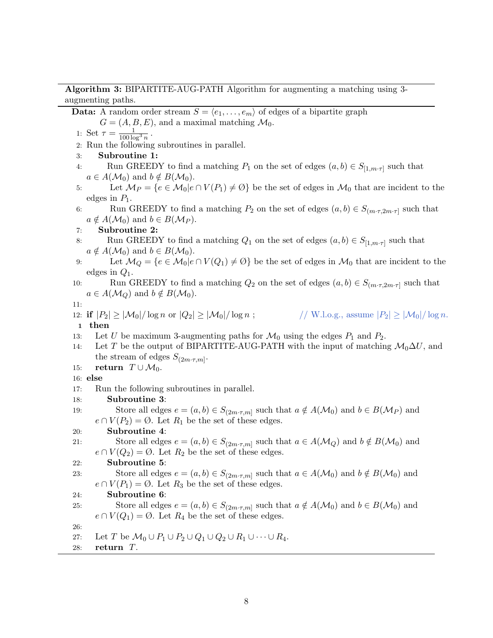### Algorithm 3: BIPARTITE-AUG-PATH Algorithm for augmenting a matching using 3 augmenting paths.

**Data:** A random order stream  $S = \langle e_1, \ldots, e_m \rangle$  of edges of a bipartite graph

 $G = (A, B, E)$ , and a maximal matching  $\mathcal{M}_0$ .

1: Set  $\tau = \frac{1}{100 \log^3 n}$ . 2: Run the following subroutines in parallel. 3: Subroutine 1: 4: Run GREEDY to find a matching  $P_1$  on the set of edges  $(a, b) \in S_{[1,m \cdot \tau]}$  such that  $a \in A(\mathcal{M}_0)$  and  $b \notin B(\mathcal{M}_0)$ . 5: Let  $\mathcal{M}_P = \{e \in \mathcal{M}_0 | e \cap V(P_1) \neq \emptyset\}$  be the set of edges in  $\mathcal{M}_0$  that are incident to the edges in  $P_1$ . 6: Run GREEDY to find a matching  $P_2$  on the set of edges  $(a, b) \in S_{(m \cdot \tau, 2m \cdot \tau]}$  such that  $a \notin A(\mathcal{M}_0)$  and  $b \in B(\mathcal{M}_P)$ . 7: Subroutine 2: 8: Run GREEDY to find a matching  $Q_1$  on the set of edges  $(a, b) \in S_{[1,m \cdot \tau]}$  such that  $a \notin A(\mathcal{M}_0)$  and  $b \in B(\mathcal{M}_0)$ . 9: Let  $\mathcal{M}_Q = \{e \in \mathcal{M}_0 | e \cap V(Q_1) \neq \emptyset\}$  be the set of edges in  $\mathcal{M}_0$  that are incident to the edges in  $Q_1$ . 10: Run GREEDY to find a matching  $Q_2$  on the set of edges  $(a, b) \in S_{(m \cdot \tau, 2m \cdot \tau]}$  such that  $a \in A(\mathcal{M}_Q)$  and  $b \notin B(\mathcal{M}_0)$ .

11:

12: if  $|P_2| \ge |\mathcal{M}_0|/\log n$  or  $|Q_2| \ge |\mathcal{M}_0|/\log n$ ;  $\qquad \qquad //$  W.l.o.g., assume  $|P_2| \ge |\mathcal{M}_0|/\log n$ .

1 then

- 13: Let U be maximum 3-augmenting paths for  $\mathcal{M}_0$  using the edges  $P_1$  and  $P_2$ .
- 14: Let T be the output of BIPARTITE-AUG-PATH with the input of matching  $\mathcal{M}_0 \Delta U$ , and the stream of edges  $S_{(2m\cdot\tau,m]}$ .
- 15: **return**  $T \cup \mathcal{M}_0$ .

#### 16: else

- 17: Run the following subroutines in parallel.
- 18: Subroutine 3:
- 19: Store all edges  $e = (a, b) \in S_{(2m \cdot \tau, m]}$  such that  $a \notin A(\mathcal{M}_0)$  and  $b \in B(\mathcal{M}_P)$  and  $e \cap V(P_2) = \emptyset$ . Let  $R_1$  be the set of these edges.

### 20: Subroutine 4:

```
21: Store all edges e = (a, b) \in S_{(2m \cdot \tau, m]} such that a \in A(\mathcal{M}_Q) and b \notin B(\mathcal{M}_0) and
       e \cap V(Q_2) = \emptyset. Let R_2 be the set of these edges.
```

```
22: Subroutine 5:
```

```
23: Store all edges e = (a, b) \in S_{(2m \cdot \tau, m]} such that a \in A(\mathcal{M}_0) and b \notin B(\mathcal{M}_0) and
       e \cap V(P_1) = \emptyset. Let R_3 be the set of these edges.
```
# 24: Subroutine 6:

25: Store all edges  $e = (a, b) \in S_{(2m \cdot \tau, m]}$  such that  $a \notin A(\mathcal{M}_0)$  and  $b \in B(\mathcal{M}_0)$  and  $e \cap V(Q_1) = \emptyset$ . Let  $R_4$  be the set of these edges.

```
26:
```

```
27: Let T be \mathcal{M}_0 \cup P_1 \cup P_2 \cup Q_1 \cup Q_2 \cup R_1 \cup \cdots \cup R_4.
```
<span id="page-7-0"></span>28: return T.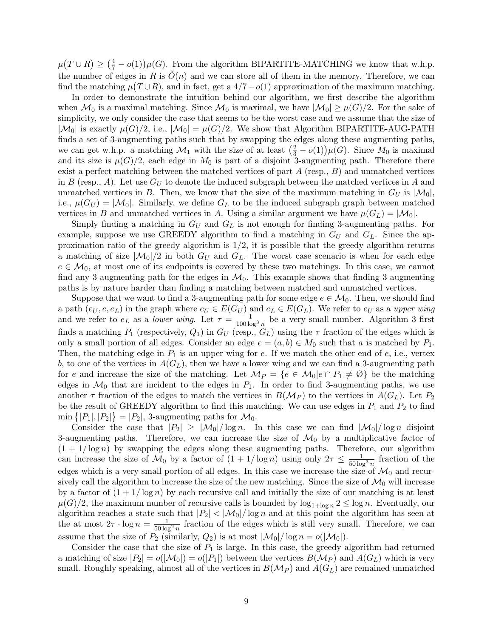$\mu(T \cup R) \geq (\frac{4}{7} - o(1)) \mu(G)$ . From the algorithm BIPARTITE-MATCHING we know that w.h.p. the number of edges in R is  $O(n)$  and we can store all of them in the memory. Therefore, we can find the matching  $\mu(T \cup R)$ , and in fact, get a 4/7 –  $o(1)$  approximation of the maximum matching.

In order to demonstrate the intuition behind our algorithm, we first describe the algorithm when  $\mathcal{M}_0$  is a maximal matching. Since  $\mathcal{M}_0$  is maximal, we have  $|\mathcal{M}_0| \geq \mu(G)/2$ . For the sake of simplicity, we only consider the case that seems to be the worst case and we assume that the size of  $|\mathcal{M}_0|$  is exactly  $\mu(G)/2$ , i.e.,  $|\mathcal{M}_0| = \mu(G)/2$ . We show that Algorithm BIPARTITE-AUG-PATH finds a set of 3-augmenting paths such that by swapping the edges along these augmenting paths, we can get w.h.p. a matching  $\mathcal{M}_1$  with the size of at least  $(\frac{2}{3} - o(1))\mu(G)$ . Since  $M_0$  is maximal and its size is  $\mu(G)/2$ , each edge in  $M_0$  is part of a disjoint 3-augmenting path. Therefore there exist a perfect matching between the matched vertices of part  $A$  (resp.,  $B$ ) and unmatched vertices in B (resp., A). Let use  $G_U$  to denote the induced subgraph between the matched vertices in A and unmatched vertices in B. Then, we know that the size of the maximum matching in  $G_U$  is  $|\mathcal{M}_0|$ , i.e.,  $\mu(G_U) = |\mathcal{M}_0|$ . Similarly, we define  $G_L$  to be the induced subgraph graph between matched vertices in B and unmatched vertices in A. Using a similar argument we have  $\mu(G_L) = |\mathcal{M}_0|$ .

Simply finding a matching in  $G_U$  and  $G_L$  is not enough for finding 3-augmenting paths. For example, suppose we use GREEDY algorithm to find a matching in  $G_U$  and  $G_L$ . Since the approximation ratio of the greedy algorithm is  $1/2$ , it is possible that the greedy algorithm returns a matching of size  $|M_0|/2$  in both  $G_U$  and  $G_L$ . The worst case scenario is when for each edge  $e \in \mathcal{M}_0$ , at most one of its endpoints is covered by these two matchings. In this case, we cannot find any 3-augmenting path for the edges in  $\mathcal{M}_0$ . This example shows that finding 3-augmenting paths is by nature harder than finding a matching between matched and unmatched vertices.

Suppose that we want to find a 3-augmenting path for some edge  $e \in \mathcal{M}_0$ . Then, we should find a path  $(e_U, e, e_L)$  in the graph where  $e_U \in E(G_U)$  and  $e_L \in E(G_L)$ . We refer to  $e_U$  as a upper wing and we refer to  $e_L$  as a *lower wing*. Let  $\tau = \frac{1}{100 \log^3 n}$  $\tau = \frac{1}{100 \log^3 n}$  $\tau = \frac{1}{100 \log^3 n}$  be a very small number. Algorithm 3 first finds a matching  $P_1$  (respectively,  $Q_1$ ) in  $G_U$  (resp.,  $G_L$ ) using the  $\tau$  fraction of the edges which is only a small portion of all edges. Consider an edge  $e = (a, b) \in M_0$  such that a is matched by  $P_1$ . Then, the matching edge in  $P_1$  is an upper wing for e. If we match the other end of e, i.e., vertex b, to one of the vertices in  $A(G_L)$ , then we have a lower wing and we can find a 3-augmenting path for e and increase the size of the matching. Let  $\mathcal{M}_P = \{e \in \mathcal{M}_0 | e \cap P_1 \neq \emptyset\}$  be the matching edges in  $\mathcal{M}_0$  that are incident to the edges in  $P_1$ . In order to find 3-augmenting paths, we use another  $\tau$  fraction of the edges to match the vertices in  $B(\mathcal{M}_P)$  to the vertices in  $A(G_L)$ . Let  $P_2$ be the result of GREEDY algorithm to find this matching. We can use edges in  $P_1$  and  $P_2$  to find  $\min\{|P_1|, |P_2|\}=|P_2|$ , 3-augmenting paths for  $\mathcal{M}_0$ .

Consider the case that  $|P_2| \geq |\mathcal{M}_0|/\log n$ . In this case we can find  $|\mathcal{M}_0|/\log n$  disjoint 3-augmenting paths. Therefore, we can increase the size of  $\mathcal{M}_0$  by a multiplicative factor of  $(1 + 1/\log n)$  by swapping the edges along these augmenting paths. Therefore, our algorithm can increase the size of  $\mathcal{M}_0$  by a factor of  $(1 + 1/\log n)$  using only  $2\tau \le \frac{1}{50 \log^3 n}$  fraction of the edges which is a very small portion of all edges. In this case we increase the size of  $\mathcal{M}_0$  and recursively call the algorithm to increase the size of the new matching. Since the size of  $\mathcal{M}_0$  will increase by a factor of  $(1 + 1/\log n)$  by each recursive call and initially the size of our matching is at least  $\mu(G)/2$ , the maximum number of recursive calls is bounded by  $\log_{1+\log n} 2 \le \log n$ . Eventually, our algorithm reaches a state such that  $|P_2| < |\mathcal{M}_0|/\log n$  and at this point the algorithm has seen at the at most  $2\tau \cdot \log n = \frac{1}{50 \log^2 n}$  fraction of the edges which is still very small. Therefore, we can assume that the size of  $P_2$  (similarly,  $Q_2$ ) is at most  $|\mathcal{M}_0|/\log n = o(|\mathcal{M}_0|)$ .

Consider the case that the size of  $P_1$  is large. In this case, the greedy algorithm had returned a matching of size  $|P_2| = o(|\mathcal{M}_0|) = o(|P_1|)$  between the vertices  $B(\mathcal{M}_P)$  and  $A(G_L)$  which is very small. Roughly speaking, almost all of the vertices in  $B(\mathcal{M}_P)$  and  $A(G_L)$  are remained unmatched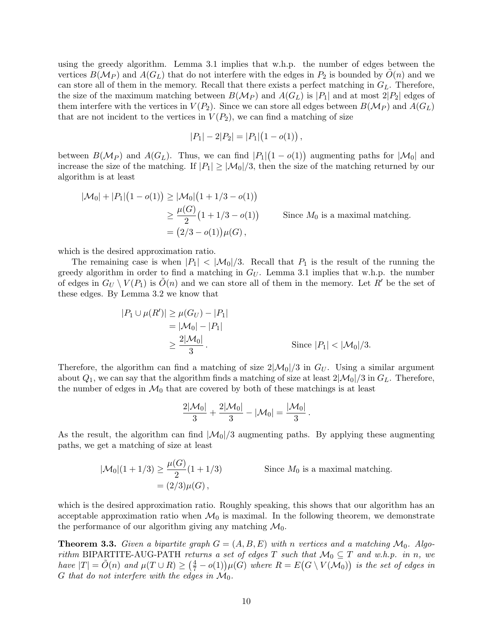using the greedy algorithm. Lemma [3.1](#page-4-1) implies that w.h.p. the number of edges between the vertices  $B(M_P)$  and  $A(G_L)$  that do not interfere with the edges in  $P_2$  is bounded by  $O(n)$  and we can store all of them in the memory. Recall that there exists a perfect matching in  $G_L$ . Therefore, the size of the maximum matching between  $B(M_P)$  and  $A(G_L)$  is  $|P_1|$  and at most  $2|P_2|$  edges of them interfere with the vertices in  $V(P_2)$ . Since we can store all edges between  $B(M_P)$  and  $A(G_L)$ that are not incident to the vertices in  $V(P_2)$ , we can find a matching of size

$$
|P_1| - 2|P_2| = |P_1|(1 - o(1)),
$$

between  $B(\mathcal{M}_P)$  and  $A(G_L)$ . Thus, we can find  $|P_1|(1 - o(1))$  augmenting paths for  $|\mathcal{M}_0|$  and increase the size of the matching. If  $|P_1| \geq |\mathcal{M}_0|/3$ , then the size of the matching returned by our algorithm is at least

$$
|\mathcal{M}_0| + |P_1| (1 - o(1)) \ge |\mathcal{M}_0| (1 + 1/3 - o(1))
$$
  
\n
$$
\ge \frac{\mu(G)}{2} (1 + 1/3 - o(1))
$$
 Since  $M_0$  is a maximal matching.  
\n
$$
= (2/3 - o(1)) \mu(G),
$$

which is the desired approximation ratio.

The remaining case is when  $|P_1|$  <  $|\mathcal{M}_0|/3$ . Recall that  $P_1$  is the result of the running the greedy algorithm in order to find a matching in  $G_U$ . Lemma [3.1](#page-4-1) implies that w.h.p. the number of edges in  $G_U \setminus V(P_1)$  is  $O(n)$  and we can store all of them in the memory. Let R' be the set of these edges. By Lemma [3.2](#page-5-0) we know that

$$
|P_1 \cup \mu(R')| \ge \mu(G_U) - |P_1|
$$
  
=  $|\mathcal{M}_0| - |P_1|$   
 $\ge \frac{2|\mathcal{M}_0|}{3}$ . Since  $|P_1| < |\mathcal{M}_0|/3$ .

Therefore, the algorithm can find a matching of size  $2|\mathcal{M}_0|/3$  in  $G_U$ . Using a similar argument about  $Q_1$ , we can say that the algorithm finds a matching of size at least  $2|\mathcal{M}_0|/3$  in  $G_L$ . Therefore, the number of edges in  $\mathcal{M}_0$  that are covered by both of these matchings is at least

$$
\frac{2|\mathcal{M}_0|}{3} + \frac{2|\mathcal{M}_0|}{3} - |\mathcal{M}_0| = \frac{|\mathcal{M}_0|}{3}.
$$

As the result, the algorithm can find  $|M_0|/3$  augmenting paths. By applying these augmenting paths, we get a matching of size at least

$$
|\mathcal{M}_0|(1+1/3) \ge \frac{\mu(G)}{2}(1+1/3)
$$
 Since  $M_0$  is a maximal matching.  
=  $(2/3)\mu(G)$ ,

which is the desired approximation ratio. Roughly speaking, this shows that our algorithm has an acceptable approximation ratio when  $\mathcal{M}_0$  is maximal. In the following theorem, we demonstrate the performance of our algorithm giving any matching  $\mathcal{M}_0$ .

**Theorem 3.3.** Given a bipartite graph  $G = (A, B, E)$  with n vertices and a matching  $\mathcal{M}_0$ . Algorithm BIPARTITE-AUG-PATH returns a set of edges T such that  $\mathcal{M}_0 \subseteq T$  and w.h.p. in n, we have  $|T| = \tilde{O}(n)$  and  $\mu(T \cup R) \geq (\frac{4}{7} - o(1))\mu(G)$  where  $R = E(G \setminus V(\mathcal{M}_0))$  is the set of edges in G that do not interfere with the edges in  $\mathcal{M}_0$ .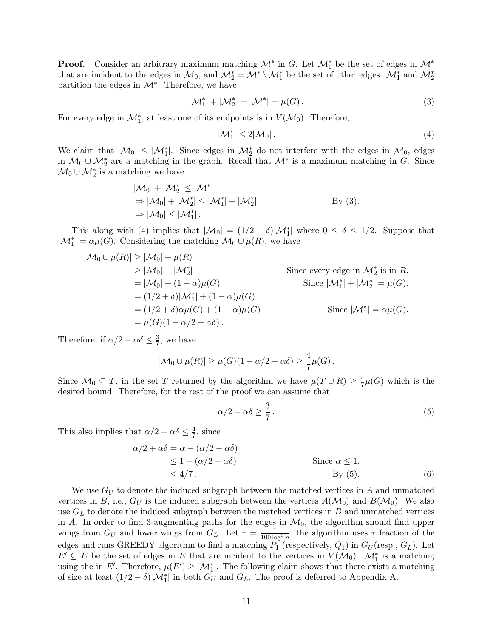**Proof.** Consider an arbitrary maximum matching  $\mathcal{M}^*$  in G. Let  $\mathcal{M}_1^*$  be the set of edges in  $\mathcal{M}^*$ that are incident to the edges in  $\mathcal{M}_0$ , and  $\mathcal{M}_2^* = \mathcal{M}^* \setminus \mathcal{M}_1^*$  be the set of other edges.  $\mathcal{M}_1^*$  and  $\mathcal{M}_2^*$ partition the edges in  $\mathcal{M}^*$ . Therefore, we have

$$
|\mathcal{M}_1^*| + |\mathcal{M}_2^*| = |\mathcal{M}^*| = \mu(G).
$$
 (3)

For every edge in  $\mathcal{M}_1^*$ , at least one of its endpoints is in  $V(\mathcal{M}_0)$ . Therefore,

<span id="page-10-1"></span><span id="page-10-0"></span>
$$
|\mathcal{M}_1^*| \le 2|\mathcal{M}_0| \,. \tag{4}
$$

We claim that  $|\mathcal{M}_0| \leq |\mathcal{M}_1^*|$ . Since edges in  $\mathcal{M}_2^*$  do not interfere with the edges in  $\mathcal{M}_0$ , edges in  $M_0 \cup M_2^*$  are a matching in the graph. Recall that  $M^*$  is a maximum matching in G. Since  $\mathcal{M}_0 \cup \mathcal{M}_2^*$  is a matching we have

$$
|\mathcal{M}_0| + |\mathcal{M}_2^*| \le |\mathcal{M}^*|
$$
  
\n
$$
\Rightarrow |\mathcal{M}_0| + |\mathcal{M}_2^*| \le |\mathcal{M}_1^*| + |\mathcal{M}_2^*|
$$
  
\n
$$
\Rightarrow |\mathcal{M}_0| \le |\mathcal{M}_1^*|.
$$
  
\nBy (3).

This along with [\(4\)](#page-10-1) implies that  $|\mathcal{M}_0| = (1/2 + \delta)|\mathcal{M}_1^*|$  where  $0 \le \delta \le 1/2$ . Suppose that  $|\mathcal{M}_1^*| = \alpha \mu(G)$ . Considering the matching  $\mathcal{M}_0 \cup \mu(R)$ , we have

$$
|\mathcal{M}_0 \cup \mu(R)| \ge |\mathcal{M}_0| + \mu(R)
$$
  
\n
$$
\ge |\mathcal{M}_0| + |\mathcal{M}_2^*|
$$
  
\n
$$
= |\mathcal{M}_0| + (1 - \alpha)\mu(G)
$$
  
\n
$$
= (1/2 + \delta)|\mathcal{M}_1^*| + (1 - \alpha)\mu(G)
$$
  
\n
$$
= (1/2 + \delta)\alpha\mu(G) + (1 - \alpha)\mu(G)
$$
  
\n
$$
= \mu(G)(1 - \alpha/2 + \alpha\delta).
$$
  
\nSince  $|\mathcal{M}_1^*| = \alpha\mu(G).$   
\nSince  $|\mathcal{M}_1^*| = \alpha\mu(G).$ 

Therefore, if  $\alpha/2 - \alpha \delta \leq \frac{3}{7}$  $\frac{3}{7}$ , we have

$$
|\mathcal{M}_0 \cup \mu(R)| \ge \mu(G)(1 - \alpha/2 + \alpha\delta) \ge \frac{4}{7}\mu(G).
$$

Since  $\mathcal{M}_0 \subseteq T$ , in the set T returned by the algorithm we have  $\mu(T \cup R) \geq \frac{4}{7}$  $\frac{4}{7}\mu(G)$  which is the desired bound. Therefore, for the rest of the proof we can assume that

<span id="page-10-3"></span><span id="page-10-2"></span>
$$
\alpha/2 - \alpha \delta \ge \frac{3}{7} \,. \tag{5}
$$

This also implies that  $\alpha/2 + \alpha\delta \leq \frac{4}{7}$  $\frac{4}{7}$ , since

$$
\alpha/2 + \alpha\delta = \alpha - (\alpha/2 - \alpha\delta)
$$
  
\n
$$
\leq 1 - (\alpha/2 - \alpha\delta)
$$
  
\n
$$
\leq 4/7.
$$
  
\nSince  $\alpha \leq 1$ .  
\nBy (5).  
\n(6)

We use  $G_U$  to denote the induced subgraph between the matched vertices in A and unmatched vertices in B, i.e.,  $G_U$  is the induced subgraph between the vertices  $A(\mathcal{M}_0)$  and  $B(\mathcal{M}_0)$ . We also use  $G_L$  to denote the induced subgraph between the matched vertices in B and unmatched vertices in A. In order to find 3-augmenting paths for the edges in  $\mathcal{M}_0$ , the algorithm should find upper wings from  $G_U$  and lower wings from  $G_L$ . Let  $\tau = \frac{1}{100 \log^3 n}$ , the algorithm uses  $\tau$  fraction of the edges and runs GREEDY algorithm to find a matching  $P_1$  (respectively,  $Q_1$ ) in  $G_U$  (resp.,  $G_L$ ). Let  $E' \subseteq E$  be the set of edges in E that are incident to the vertices in  $V(\mathcal{M}_0)$ .  $\mathcal{M}_1^*$  is a matching using the in E'. Therefore,  $\mu(E') \geq |\mathcal{M}_{1}^{*}|$ . The following claim shows that there exists a matching of size at least  $(1/2 - \delta)|\mathcal{M}_1^*|$  in both  $G_U$  and  $G_L$ . The proof is deferred to Appendix [A.](#page-26-0)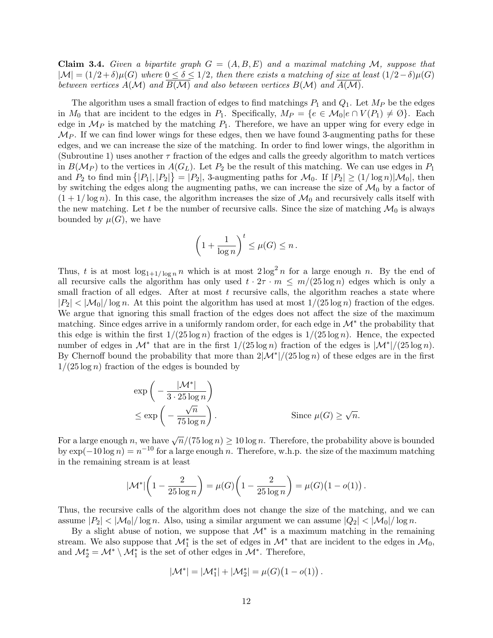<span id="page-11-0"></span>**Claim 3.4.** Given a bipartite graph  $G = (A, B, E)$  and a maximal matching M, suppose that  $|\mathcal{M}| = (1/2 + \delta)\mu(G)$  where  $0 \le \delta \le 1/2$ , then there exists a matching of size at least  $(1/2 - \delta)\mu(G)$ between vertices  $A(\mathcal{M})$  and  $B(\mathcal{M})$  and also between vertices  $B(\mathcal{M})$  and  $A(\mathcal{M})$ .

The algorithm uses a small fraction of edges to find matchings  $P_1$  and  $Q_1$ . Let  $M_P$  be the edges in  $M_0$  that are incident to the edges in  $P_1$ . Specifically,  $M_P = \{e \in M_0 | e \cap V(P_1) \neq \emptyset\}$ . Each edge in  $\mathcal{M}_P$  is matched by the matching  $P_1$ . Therefore, we have an upper wing for every edge in  $\mathcal{M}_P$ . If we can find lower wings for these edges, then we have found 3-augmenting paths for these edges, and we can increase the size of the matching. In order to find lower wings, the algorithm in (Subroutine 1) uses another  $\tau$  fraction of the edges and calls the greedy algorithm to match vertices in  $B(\mathcal{M}_P)$  to the vertices in  $A(G_L)$ . Let  $P_2$  be the result of this matching. We can use edges in  $P_1$ and  $P_2$  to find min  $\{|P_1|, |P_2|\} = |P_2|$ , 3-augmenting paths for  $\mathcal{M}_0$ . If  $|P_2| \ge (1/\log n)|\mathcal{M}_0|$ , then by switching the edges along the augmenting paths, we can increase the size of  $\mathcal{M}_0$  by a factor of  $(1 + 1/\log n)$ . In this case, the algorithm increases the size of  $\mathcal{M}_0$  and recursively calls itself with the new matching. Let t be the number of recursive calls. Since the size of matching  $\mathcal{M}_0$  is always bounded by  $\mu(G)$ , we have

$$
\left(1 + \frac{1}{\log n}\right)^t \le \mu(G) \le n.
$$

Thus, t is at most  $\log_{1+1/\log n} n$  which is at most  $2\log^2 n$  for a large enough n. By the end of all recursive calls the algorithm has only used  $t \cdot 2\tau \cdot m \leq m/(25 \log n)$  edges which is only a small fraction of all edges. After at most  $t$  recursive calls, the algorithm reaches a state where  $|P_2| < |\mathcal{M}_0|/\log n$ . At this point the algorithm has used at most  $1/(25 \log n)$  fraction of the edges. We argue that ignoring this small fraction of the edges does not affect the size of the maximum matching. Since edges arrive in a uniformly random order, for each edge in  $\mathcal{M}^*$  the probability that this edge is within the first  $1/(25 \log n)$  fraction of the edges is  $1/(25 \log n)$ . Hence, the expected number of edges in  $\mathcal{M}^*$  that are in the first  $1/(25 \log n)$  fraction of the edges is  $|\mathcal{M}^*|/(25 \log n)$ . By Chernoff bound the probability that more than  $2|\mathcal{M}^*|/(25 \log n)$  of these edges are in the first  $1/(25 \log n)$  fraction of the edges is bounded by

$$
\exp\left(-\frac{|\mathcal{M}^*|}{3 \cdot 25 \log n}\right)
$$
  

$$
\leq \exp\left(-\frac{\sqrt{n}}{75 \log n}\right).
$$
 Since  $\mu(G) \geq \sqrt{n}$ .

For a large enough n, we have  $\sqrt{n}/(75 \log n) \ge 10 \log n$ . Therefore, the probability above is bounded by  $\exp(-10 \log n) = n^{-10}$  for a large enough n. Therefore, w.h.p. the size of the maximum matching in the remaining stream is at least

$$
|\mathcal{M}^*| \left(1 - \frac{2}{25 \log n}\right) = \mu(G) \left(1 - \frac{2}{25 \log n}\right) = \mu(G) \left(1 - o(1)\right).
$$

Thus, the recursive calls of the algorithm does not change the size of the matching, and we can assume  $|P_2| < |\mathcal{M}_0|/\log n$ . Also, using a similar argument we can assume  $|Q_2| < |\mathcal{M}_0|/\log n$ .

By a slight abuse of notion, we suppose that  $\mathcal{M}^*$  is a maximum matching in the remaining stream. We also suppose that  $\mathcal{M}_1^*$  is the set of edges in  $\mathcal{M}^*$  that are incident to the edges in  $\mathcal{M}_0$ , and  $\mathcal{M}_{2}^{*} = \mathcal{M}^{*} \setminus \mathcal{M}_{1}^{*}$  is the set of other edges in  $\mathcal{M}^{*}$ . Therefore,

$$
|\mathcal{M}^*| = |\mathcal{M}_1^*| + |\mathcal{M}_2^*| = \mu(G) (1 - o(1)).
$$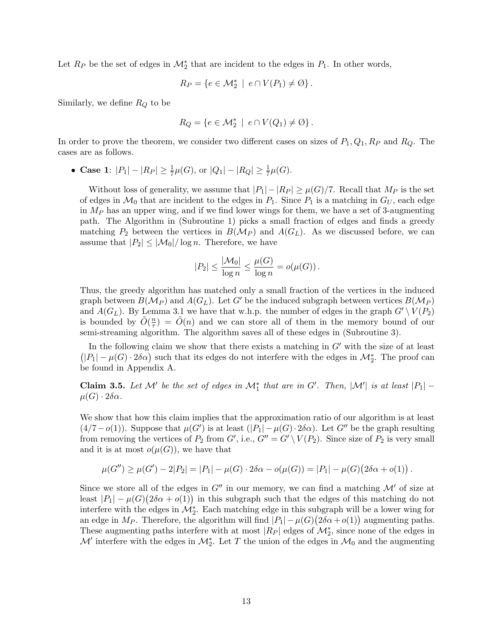Let  $R_P$  be the set of edges in  $\mathcal{M}_2^*$  that are incident to the edges in  $P_1$ . In other words,

$$
R_P = \{ e \in \mathcal{M}_2^* \mid e \cap V(P_1) \neq \emptyset \}.
$$

Similarly, we define  $R_Q$  to be

$$
R_Q = \{ e \in \mathcal{M}_2^* \mid e \cap V(Q_1) \neq \emptyset \}.
$$

In order to prove the theorem, we consider two different cases on sizes of  $P_1, Q_1, R_P$  and  $R_Q$ . The cases are as follows.

• Case 1:  $|P_1| - |R_P| \ge \frac{1}{7}\mu(G)$ , or  $|Q_1| - |R_Q| \ge \frac{1}{7}\mu(G)$ .

Without loss of generality, we assume that  $|P_1| - |RP| \ge \mu(G)/7$ . Recall that  $M_P$  is the set of edges in  $\mathcal{M}_0$  that are incident to the edges in  $P_1$ . Since  $P_1$  is a matching in  $G_U$ , each edge in  $M_P$  has an upper wing, and if we find lower wings for them, we have a set of 3-augmenting path. The Algorithm in (Subroutine 1) picks a small fraction of edges and finds a greedy matching  $P_2$  between the vertices in  $B(\mathcal{M}_P)$  and  $A(G_L)$ . As we discussed before, we can assume that  $|P_2| \leq |\mathcal{M}_0|/\log n$ . Therefore, we have

$$
|P_2| \le \frac{|\mathcal{M}_0|}{\log n} \le \frac{\mu(G)}{\log n} = o(\mu(G)).
$$

Thus, the greedy algorithm has matched only a small fraction of the vertices in the induced graph between  $B(\mathcal{M}_P)$  and  $A(G_L)$ . Let G' be the induced subgraph between vertices  $B(\mathcal{M}_P)$ and  $A(G_L)$ . By Lemma [3.1](#page-4-1) we have that w.h.p. the number of edges in the graph  $G' \setminus V(P_2)$ is bounded by  $\tilde{O}(\frac{n}{\tau})$  $(\frac{n}{\tau}) = \tilde{O}(n)$  and we can store all of them in the memory bound of our semi-streaming algorithm. The algorithm saves all of these edges in (Subroutine 3).

In the following claim we show that there exists a matching in  $G'$  with the size of at least  $(|P_1| - \mu(G) \cdot 2\delta\alpha)$  such that its edges do not interfere with the edges in  $\mathcal{M}_2^*$ . The proof can be found in Appendix [A.](#page-26-0)

**Claim 3.5.** Let M' be the set of edges in  $\mathcal{M}_1^*$  that are in G'. Then,  $|\mathcal{M}'|$  is at least  $|P_1|$  –  $\mu(G) \cdot 2\delta\alpha$ .

We show that how this claim implies that the approximation ratio of our algorithm is at least  $(4/7-o(1))$ . Suppose that  $\mu(G')$  is at least  $(|P_1|-\mu(G)\cdot 2\delta\alpha)$ . Let  $G''$  be the graph resulting from removing the vertices of  $P_2$  from  $G'$ , i.e.,  $G'' = G' \setminus V(P_2)$ . Since size of  $P_2$  is very small and it is at most  $o(\mu(G))$ , we have that

$$
\mu(G'') \ge \mu(G') - 2|P_2| = |P_1| - \mu(G) \cdot 2\delta\alpha - o(\mu(G)) = |P_1| - \mu(G)(2\delta\alpha + o(1)).
$$

Since we store all of the edges in  $G''$  in our memory, we can find a matching  $\mathcal{M}'$  of size at least  $|P_1| - \mu(G)(2\delta \alpha + o(1))$  in this subgraph such that the edges of this matching do not interfere with the edges in  $\mathcal{M}_{2}^{*}$ . Each matching edge in this subgraph will be a lower wing for an edge in  $M_P$ . Therefore, the algorithm will find  $|P_1| - \mu(G)(2\delta \alpha + o(1))$  augmenting paths. These augmenting paths interfere with at most  $|R_P|$  edges of  $\mathcal{M}_2^*$ , since none of the edges in  $\mathcal{M}'$  interfere with the edges in  $\mathcal{M}_2^*$ . Let T the union of the edges in  $\mathcal{M}_0$  and the augmenting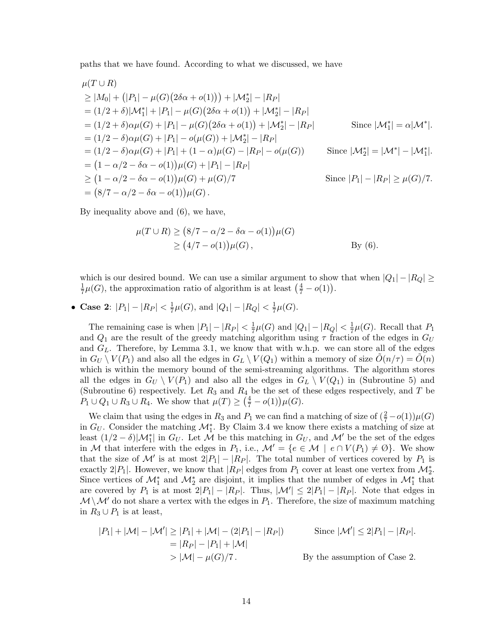paths that we have found. According to what we discussed, we have

$$
\mu(T \cup R)
$$
\n
$$
\geq |M_0| + (|P_1| - \mu(G)(2\delta\alpha + o(1))) + |\mathcal{M}_2^*| - |R_P|
$$
\n
$$
= (1/2 + \delta)|\mathcal{M}_1^*| + |P_1| - \mu(G)(2\delta\alpha + o(1)) + |\mathcal{M}_2^*| - |R_P|
$$
\n
$$
= (1/2 + \delta)\alpha\mu(G) + |P_1| - \mu(G)(2\delta\alpha + o(1)) + |\mathcal{M}_2^*| - |R_P|
$$
\n
$$
= (1/2 - \delta)\alpha\mu(G) + |P_1| - o(\mu(G)) + |\mathcal{M}_2^*| - |R_P|
$$
\n
$$
= (1/2 - \delta)\alpha\mu(G) + |P_1| + (1 - \alpha)\mu(G) - |R_P| - o(\mu(G))
$$
\nSince  $|\mathcal{M}_2^*| = |\mathcal{M}^*| - |\mathcal{M}_1^*|$ .  
\n
$$
= (1 - \alpha/2 - \delta\alpha - o(1))\mu(G) + |P_1| - |R_P|
$$
\n
$$
\geq (1 - \alpha/2 - \delta\alpha - o(1))\mu(G) + \mu(G)/7
$$
\nSince  $|P_1| - |R_P| \geq \mu(G)/7$ .  
\n
$$
= (8/7 - \alpha/2 - \delta\alpha - o(1))\mu(G).
$$

By inequality above and [\(6\)](#page-10-3), we have,

$$
\mu(T \cup R) \ge (8/7 - \alpha/2 - \delta\alpha - o(1))\mu(G)
$$
  
 
$$
\ge (4/7 - o(1))\mu(G),
$$
 By (6).

which is our desired bound. We can use a similar argument to show that when  $|Q_1| - |R_Q| \ge$ 1  $\frac{1}{7}\mu(G)$ , the approximation ratio of algorithm is at least  $(\frac{4}{7} - o(1))$ .

• Case 2:  $|P_1| - |R_P| < \frac{1}{7}$  $\frac{1}{7}\mu(G)$ , and  $|Q_1| - |R_Q| < \frac{1}{7}$  $\frac{1}{7}\mu(G).$ 

The remaining case is when  $|P_1| - |R_P| < \frac{1}{7}$  $\frac{1}{7}\mu(G)$  and  $|Q_1| - |R_Q| < \frac{1}{7}$  $\frac{1}{7}\mu(G)$ . Recall that  $P_1$ and  $Q_1$  are the result of the greedy matching algorithm using  $\tau$  fraction of the edges in  $G_U$ and  $G_L$ . Therefore, by Lemma [3.1,](#page-4-1) we know that with w.h.p. we can store all of the edges in  $G_U \setminus V(P_1)$  and also all the edges in  $G_L \setminus V(Q_1)$  within a memory of size  $O(n/\tau) = O(n)$ which is within the memory bound of the semi-streaming algorithms. The algorithm stores all the edges in  $G_U \setminus V(P_1)$  and also all the edges in  $G_L \setminus V(Q_1)$  in (Subroutine 5) and (Subroutine 6) respectively. Let  $R_3$  and  $R_4$  be the set of these edges respectively, and T be  $P_1 \cup Q_1 \cup R_3 \cup R_4$ . We show that  $\mu(T) \geq (\frac{4}{7} - o(1))\mu(G)$ .

We claim that using the edges in  $R_3$  and  $P_1$  we can find a matching of size of  $(\frac{2}{7} - o(1))\mu(G)$ in  $G_U$ . Consider the matching  $\mathcal{M}_1^*$ . By Claim [3.4](#page-11-0) we know there exists a matching of size at least  $(1/2 - \delta)|\mathcal{M}_1^*|$  in  $G_U$ . Let  $\overline{\mathcal{M}}$  be this matching in  $G_U$ , and  $\mathcal{M}'$  be the set of the edges in M that interfere with the edges in  $P_1$ , i.e.,  $\mathcal{M}' = \{e \in \mathcal{M} \mid e \cap V(P_1) \neq \emptyset\}$ . We show that the size of M' is at most  $2|P_1| - |R_P|$ . The total number of vertices covered by  $P_1$  is exactly 2| $P_1$ . However, we know that  $|R_P|$  edges from  $P_1$  cover at least one vertex from  $\mathcal{M}_2^*$ . Since vertices of  $\mathcal{M}_1^*$  and  $\mathcal{M}_2^*$  are disjoint, it implies that the number of edges in  $\mathcal{M}_1^*$  that are covered by  $P_1$  is at most  $2|P_1| - |R_P|$ . Thus,  $|\mathcal{M}'| \leq 2|P_1| - |R_P|$ . Note that edges in  $\mathcal{M} \backslash \mathcal{M}'$  do not share a vertex with the edges in  $P_1$ . Therefore, the size of maximum matching in  $R_3 \cup P_1$  is at least,

$$
|P_1| + |\mathcal{M}| - |\mathcal{M}'| \ge |P_1| + |\mathcal{M}| - (2|P_1| - |R_P|)
$$
 Since  $|\mathcal{M}'| \le 2|P_1| - |R_P|$ .  
\n
$$
= |R_P| - |P_1| + |\mathcal{M}|
$$
  
\n
$$
> |\mathcal{M}| - \mu(G)/7.
$$
 By the assumption of Case 2.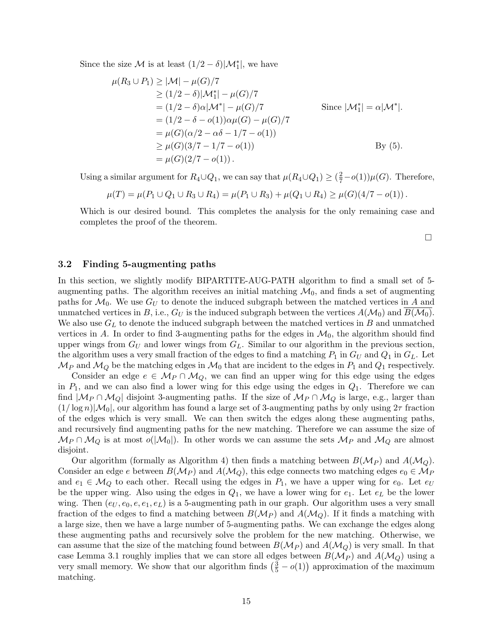Since the size  $\mathcal M$  is at least  $(1/2 - \delta)|\mathcal M_1^*|$ , we have

$$
\mu(R_3 \cup P_1) \ge |\mathcal{M}| - \mu(G)/7
$$
  
\n
$$
\ge (1/2 - \delta)|\mathcal{M}_1^*| - \mu(G)/7
$$
  
\n
$$
= (1/2 - \delta)\alpha|\mathcal{M}^*| - \mu(G)/7
$$
  
\n
$$
= (1/2 - \delta - o(1))\alpha\mu(G) - \mu(G)/7
$$
  
\n
$$
= \mu(G)(\alpha/2 - \alpha\delta - 1/7 - o(1))
$$
  
\n
$$
\ge \mu(G)(3/7 - 1/7 - o(1))
$$
  
\n
$$
= \mu(G)(2/7 - o(1)).
$$
  
\nBy (5).

Using a similar argument for  $R_4\cup Q_1$ , we can say that  $\mu(R_4\cup Q_1)\geq (\frac{2}{7}-o(1))\mu(G)$ . Therefore,

$$
\mu(T) = \mu(P_1 \cup Q_1 \cup R_3 \cup R_4) = \mu(P_1 \cup R_3) + \mu(Q_1 \cup R_4) \geq \mu(G)(4/7 - o(1)).
$$

Which is our desired bound. This completes the analysis for the only remaining case and completes the proof of the theorem.

 $\Box$ 

#### <span id="page-14-0"></span>3.2 Finding 5-augmenting paths

In this section, we slightly modify BIPARTITE-AUG-PATH algorithm to find a small set of 5 augmenting paths. The algorithm receives an initial matching  $\mathcal{M}_0$ , and finds a set of augmenting paths for  $\mathcal{M}_0$ . We use  $G_U$  to denote the induced subgraph between the matched vertices in A and unmatched vertices in B, i.e.,  $G_U$  is the induced subgraph between the vertices  $A(\mathcal{M}_0)$  and  $B(\mathcal{M}_0)$ . We also use  $G_L$  to denote the induced subgraph between the matched vertices in B and unmatched vertices in A. In order to find 3-augmenting paths for the edges in  $\mathcal{M}_0$ , the algorithm should find upper wings from  $G_U$  and lower wings from  $G_L$ . Similar to our algorithm in the previous section, the algorithm uses a very small fraction of the edges to find a matching  $P_1$  in  $G_U$  and  $Q_1$  in  $G_L$ . Let  $\mathcal{M}_P$  and  $\mathcal{M}_Q$  be the matching edges in  $\mathcal{M}_0$  that are incident to the edges in  $P_1$  and  $Q_1$  respectively.

Consider an edge  $e \in M_P \cap M_Q$ , we can find an upper wing for this edge using the edges in  $P_1$ , and we can also find a lower wing for this edge using the edges in  $Q_1$ . Therefore we can find  $|M_P \cap M_Q|$  disjoint 3-augmenting paths. If the size of  $M_P \cap M_Q$  is large, e.g., larger than  $(1/\log n)|\mathcal{M}_0|$ , our algorithm has found a large set of 3-augmenting paths by only using  $2\tau$  fraction of the edges which is very small. We can then switch the edges along these augmenting paths, and recursively find augmenting paths for the new matching. Therefore we can assume the size of  $\mathcal{M}_P \cap \mathcal{M}_Q$  is at most  $o(|\mathcal{M}_0|)$ . In other words we can assume the sets  $\mathcal{M}_P$  and  $\mathcal{M}_Q$  are almost disjoint.

Our algorithm (formally as Algorithm [4\)](#page-15-0) then finds a matching between  $B(\mathcal{M}_P)$  and  $A(\mathcal{M}_Q)$ . Consider an edge e between  $B(\mathcal{M}_P)$  and  $A(\mathcal{M}_Q)$ , this edge connects two matching edges  $e_0 \in \mathcal{M}_P$ and  $e_1 \in \mathcal{M}_Q$  to each other. Recall using the edges in  $P_1$ , we have a upper wing for  $e_0$ . Let  $e_U$ be the upper wing. Also using the edges in  $Q_1$ , we have a lower wing for  $e_1$ . Let  $e_L$  be the lower wing. Then  $(e_U, e_0, e, e_1, e_L)$  is a 5-augmenting path in our graph. Our algorithm uses a very small fraction of the edges to find a matching between  $B(M_P)$  and  $A(M_Q)$ . If it finds a matching with a large size, then we have a large number of 5-augmenting paths. We can exchange the edges along these augmenting paths and recursively solve the problem for the new matching. Otherwise, we can assume that the size of the matching found between  $B(\mathcal{M}_P)$  and  $A(\mathcal{M}_Q)$  is very small. In that case Lemma [3.1](#page-4-1) roughly implies that we can store all edges between  $B(\mathcal{M}_P)$  and  $A(\mathcal{M}_Q)$  using a very small memory. We show that our algorithm finds  $(\frac{3}{5} - o(1))$  approximation of the maximum matching.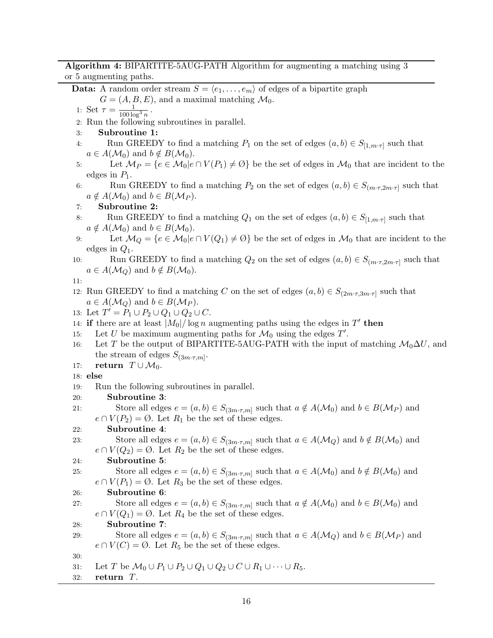#### Algorithm 4: BIPARTITE-5AUG-PATH Algorithm for augmenting a matching using 3 or 5 augmenting paths.

**Data:** A random order stream  $S = \langle e_1, \ldots, e_m \rangle$  of edges of a bipartite graph

 $G = (A, B, E)$ , and a maximal matching  $\mathcal{M}_0$ . .

1: Set  $\tau = \frac{1}{100 \log^3 n}$ 

2: Run the following subroutines in parallel.

- 3: Subroutine 1:
- 4: Run GREEDY to find a matching  $P_1$  on the set of edges  $(a, b) \in S_{[1,m \cdot \tau]}$  such that  $a \in A(\mathcal{M}_0)$  and  $b \notin B(\mathcal{M}_0)$ .
- 5: Let  $M_P = \{e \in M_0 | e \cap V(P_1) \neq \emptyset\}$  be the set of edges in  $M_0$  that are incident to the edges in  $P_1$ .
- 6: Run GREEDY to find a matching  $P_2$  on the set of edges  $(a, b) \in S_{(m \cdot \tau, 2m \cdot \tau]}$  such that  $a \notin A(\mathcal{M}_0)$  and  $b \in B(\mathcal{M}_P)$ .
- 7: Subroutine 2:
- 8: Run GREEDY to find a matching  $Q_1$  on the set of edges  $(a, b) \in S_{[1,m \cdot \tau]}$  such that  $a \notin A(\mathcal{M}_0)$  and  $b \in B(\mathcal{M}_0)$ .
- 9: Let  $\mathcal{M}_Q = \{e \in \mathcal{M}_0 | e \cap V(Q_1) \neq \emptyset\}$  be the set of edges in  $\mathcal{M}_0$  that are incident to the edges in  $Q_1$ .
- 10: Run GREEDY to find a matching  $Q_2$  on the set of edges  $(a, b) \in S_{(m \cdot \tau, 2m \cdot \tau]}$  such that  $a \in A(\mathcal{M}_O)$  and  $b \notin B(\mathcal{M}_0)$ .

11:

12: Run GREEDY to find a matching C on the set of edges  $(a, b) \in S_{(2m\cdot\tau,3m\cdot\tau]}$  such that  $a \in A(\mathcal{M}_Q)$  and  $b \in B(\mathcal{M}_P)$ .

13: Let  $T' = P_1 \cup P_2 \cup Q_1 \cup Q_2 \cup C$ .

14: if there are at least  $|M_0|/\log n$  augmenting paths using the edges in T' then

- 15: Let U be maximum augmenting paths for  $\mathcal{M}_0$  using the edges  $T'$ .
- 16: Let T be the output of BIPARTITE-5AUG-PATH with the input of matching  $\mathcal{M}_0 \Delta U$ , and the stream of edges  $S_{(3m\cdot\tau,m]}$ .
- 17: return  $T \cup \mathcal{M}_0$ .

### 18: else

- 19: Run the following subroutines in parallel.
- 20: Subroutine 3:

21: Store all edges  $e = (a, b) \in S_{(3m \cdot \tau, m]}$  such that  $a \notin A(\mathcal{M}_0)$  and  $b \in B(\mathcal{M}_P)$  and  $e \cap V(P_2) = \emptyset$ . Let  $R_1$  be the set of these edges.

### 22: Subroutine 4:

```
23: Store all edges e = (a, b) \in S_{(3m \cdot \tau, m]} such that a \in A(\mathcal{M}_Q) and b \notin B(\mathcal{M}_0) and
       e \cap V(Q_2) = \emptyset. Let R_2 be the set of these edges.
24: Subroutine 5:
```

```
25: Store all edges e = (a, b) \in S_{(3m \cdot \tau, m]} such that a \in A(\mathcal{M}_0) and b \notin B(\mathcal{M}_0) and
       e \cap V(P_1) = \emptyset. Let R_3 be the set of these edges.
```

```
26: Subroutine 6:
```

```
27: Store all edges e = (a, b) \in S_{(3m \cdot \tau, m]} such that a \notin A(\mathcal{M}_0) and b \in B(\mathcal{M}_0) and
       e \cap V(Q_1) = \emptyset. Let R_4 be the set of these edges.
```
### 28: Subroutine 7:

29: Store all edges  $e = (a, b) \in S_{(3m \cdot \tau, m]}$  such that  $a \in A(\mathcal{M}_Q)$  and  $b \in B(\mathcal{M}_P)$  and  $e \cap V(C) = \emptyset$ . Let  $R_5$  be the set of these edges.

30:

- 31: Let T be  $\mathcal{M}_0 \cup P_1 \cup P_2 \cup Q_1 \cup Q_2 \cup C \cup R_1 \cup \cdots \cup R_5$ .
- <span id="page-15-0"></span>32: return T.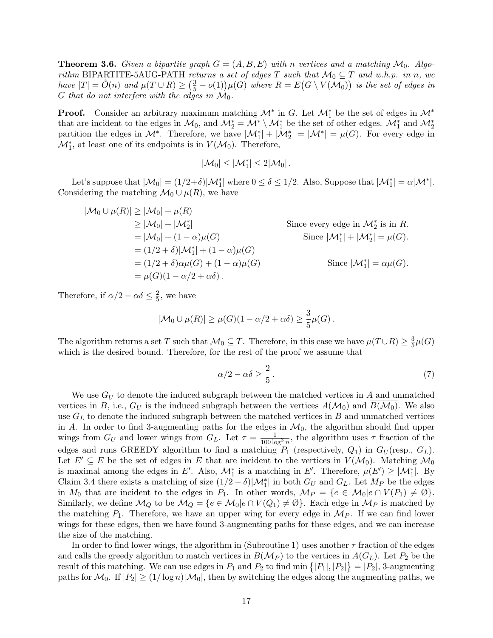**Theorem 3.6.** Given a bipartite graph  $G = (A, B, E)$  with n vertices and a matching  $\mathcal{M}_0$ . Algorithm BIPARTITE-5AUG-PATH returns a set of edges T such that  $\mathcal{M}_0 \subseteq T$  and w.h.p. in n, we have  $|T| = \tilde{O}(n)$  and  $\mu(T \cup R) \geq (\frac{3}{5} - o(1))\mu(G)$  where  $R = E(G \setminus V(\mathcal{M}_0))$  is the set of edges in G that do not interfere with the edges in  $\mathcal{M}_0$ .

**Proof.** Consider an arbitrary maximum matching  $\mathcal{M}^*$  in G. Let  $\mathcal{M}_1^*$  be the set of edges in  $\mathcal{M}^*$ that are incident to the edges in  $\mathcal{M}_0$ , and  $\mathcal{M}_2^* = \mathcal{M}^* \setminus \mathcal{M}_1^*$  be the set of other edges.  $\mathcal{M}_1^*$  and  $\mathcal{M}_2^*$ partition the edges in  $\mathcal{M}^*$ . Therefore, we have  $|\mathcal{M}^*_1| + |\mathcal{M}^*_2| = |\mathcal{M}^*| = \mu(G)$ . For every edge in  $\mathcal{M}_1^*$ , at least one of its endpoints is in  $V(\mathcal{M}_0)$ . Therefore,

$$
|\mathcal{M}_0|\leq |\mathcal{M}_1^*|\leq 2|\mathcal{M}_0|\,.
$$

Let's suppose that  $|\mathcal{M}_0| = (1/2+\delta)|\mathcal{M}_1^*|$  where  $0 \le \delta \le 1/2$ . Also, Suppose that  $|\mathcal{M}_1^*| = \alpha|\mathcal{M}^*|$ . Considering the matching  $\mathcal{M}_0 \cup \mu(R)$ , we have

$$
|\mathcal{M}_0 \cup \mu(R)| \ge |\mathcal{M}_0| + \mu(R)
$$
  
\n
$$
\ge |\mathcal{M}_0| + |\mathcal{M}_2^*|
$$
  
\n
$$
= |\mathcal{M}_0| + (1 - \alpha)\mu(G)
$$
  
\n
$$
= (1/2 + \delta)|\mathcal{M}_1^*| + (1 - \alpha)\mu(G)
$$
  
\n
$$
= (1/2 + \delta)\alpha\mu(G) + (1 - \alpha)\mu(G)
$$
  
\n
$$
= \mu(G)(1 - \alpha/2 + \alpha\delta).
$$
  
\nSince  $|\mathcal{M}_1^*| = \alpha\mu(G).$   
\nSince  $|\mathcal{M}_1^*| = \alpha\mu(G).$ 

Therefore, if  $\alpha/2 - \alpha \delta \leq \frac{2}{5}$  $\frac{2}{5}$ , we have

$$
|\mathcal{M}_0 \cup \mu(R)| \ge \mu(G)(1-\alpha/2+\alpha\delta) \ge \frac{3}{5}\mu(G).
$$

The algorithm returns a set T such that  $\mathcal{M}_0 \subseteq T$ . Therefore, in this case we have  $\mu(T \cup R) \geq \frac{3}{5}$  $\frac{3}{5}\mu(G)$ which is the desired bound. Therefore, for the rest of the proof we assume that

<span id="page-16-0"></span>
$$
\alpha/2 - \alpha \delta \ge \frac{2}{5} \,. \tag{7}
$$

We use  $G_U$  to denote the induced subgraph between the matched vertices in A and unmatched vertices in B, i.e.,  $G_U$  is the induced subgraph between the vertices  $A(\mathcal{M}_0)$  and  $B(\mathcal{M}_0)$ . We also use  $G_L$  to denote the induced subgraph between the matched vertices in  $B$  and unmatched vertices in A. In order to find 3-augmenting paths for the edges in  $\mathcal{M}_0$ , the algorithm should find upper wings from  $G_U$  and lower wings from  $G_L$ . Let  $\tau = \frac{1}{100 \log^3 n}$ , the algorithm uses  $\tau$  fraction of the edges and runs GREEDY algorithm to find a matching  $P_1$  (respectively,  $Q_1$ ) in  $G_U$  (resp.,  $G_L$ ). Let  $E' \subseteq E$  be the set of edges in E that are incident to the vertices in  $V(\mathcal{M}_0)$ . Matching  $\mathcal{M}_0$ is maximal among the edges in E'. Also,  $\mathcal{M}_1^*$  is a matching in E'. Therefore,  $\mu(E') \geq |\mathcal{M}_1^*|$ . By Claim [3.4](#page-11-0) there exists a matching of size  $(1/2 - \delta)|\mathcal{M}_1^*|$  in both  $G_U$  and  $G_L$ . Let  $M_P$  be the edges in  $M_0$  that are incident to the edges in  $P_1$ . In other words,  $\mathcal{M}_P = \{e \in \mathcal{M}_0 | e \cap V(P_1) \neq \emptyset\}.$ Similarly, we define  $\mathcal{M}_Q$  to be  $\mathcal{M}_Q = \{e \in \mathcal{M}_0 | e \cap V(Q_1) \neq \emptyset\}$ . Each edge in  $\mathcal{M}_P$  is matched by the matching  $P_1$ . Therefore, we have an upper wing for every edge in  $\mathcal{M}_P$ . If we can find lower wings for these edges, then we have found 3-augmenting paths for these edges, and we can increase the size of the matching.

In order to find lower wings, the algorithm in (Subroutine 1) uses another  $\tau$  fraction of the edges and calls the greedy algorithm to match vertices in  $B(M_P)$  to the vertices in  $A(G_L)$ . Let  $P_2$  be the result of this matching. We can use edges in  $P_1$  and  $P_2$  to find min  $\{|P_1|, |P_2|\} = |P_2|$ , 3-augmenting paths for  $\mathcal{M}_0$ . If  $|P_2| \geq (1/\log n)|\mathcal{M}_0|$ , then by switching the edges along the augmenting paths, we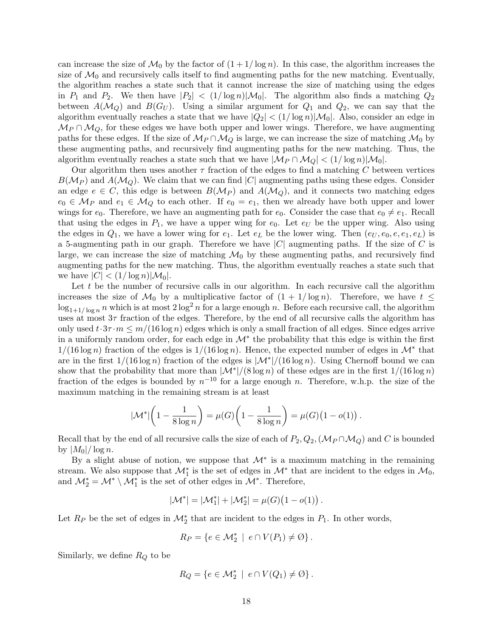can increase the size of  $\mathcal{M}_0$  by the factor of  $(1 + 1/\log n)$ . In this case, the algorithm increases the size of  $\mathcal{M}_0$  and recursively calls itself to find augmenting paths for the new matching. Eventually, the algorithm reaches a state such that it cannot increase the size of matching using the edges in  $P_1$  and  $P_2$ . We then have  $|P_2| < (1/\log n)|\mathcal{M}_0|$ . The algorithm also finds a matching  $Q_2$ between  $A(\mathcal{M}_Q)$  and  $B(G_U)$ . Using a similar argument for  $Q_1$  and  $Q_2$ , we can say that the algorithm eventually reaches a state that we have  $|Q_2| < (1/\log n)|\mathcal{M}_0|$ . Also, consider an edge in  $\mathcal{M}_P \cap \mathcal{M}_Q$ , for these edges we have both upper and lower wings. Therefore, we have augmenting paths for these edges. If the size of  $\mathcal{M}_P \cap \mathcal{M}_Q$  is large, we can increase the size of matching  $\mathcal{M}_0$  by these augmenting paths, and recursively find augmenting paths for the new matching. Thus, the algorithm eventually reaches a state such that we have  $|\mathcal{M}_P \cap \mathcal{M}_Q| < (1/\log n)|\mathcal{M}_0|$ .

Our algorithm then uses another  $\tau$  fraction of the edges to find a matching C between vertices  $B(M_P)$  and  $A(M_Q)$ . We claim that we can find |C| augmenting paths using these edges. Consider an edge  $e \in C$ , this edge is between  $B(\mathcal{M}_P)$  and  $A(\mathcal{M}_Q)$ , and it connects two matching edges  $e_0 \in \mathcal{M}_P$  and  $e_1 \in \mathcal{M}_Q$  to each other. If  $e_0 = e_1$ , then we already have both upper and lower wings for  $e_0$ . Therefore, we have an augmenting path for  $e_0$ . Consider the case that  $e_0 \neq e_1$ . Recall that using the edges in  $P_1$ , we have a upper wing for  $e_0$ . Let  $e_U$  be the upper wing. Also using the edges in  $Q_1$ , we have a lower wing for  $e_1$ . Let  $e_L$  be the lower wing. Then  $(e_U, e_0, e, e_1, e_L)$  is a 5-augmenting path in our graph. Therefore we have  $|C|$  augmenting paths. If the size of C is large, we can increase the size of matching  $\mathcal{M}_0$  by these augmenting paths, and recursively find augmenting paths for the new matching. Thus, the algorithm eventually reaches a state such that we have  $|C| < (1/\log n)|\mathcal{M}_0|$ .

Let t be the number of recursive calls in our algorithm. In each recursive call the algorithm increases the size of  $\mathcal{M}_0$  by a multiplicative factor of  $(1 + 1/\log n)$ . Therefore, we have  $t \leq$  $\log_{1+1/\log n} n$  which is at most  $2 \log^2 n$  for a large enough n. Before each recursive call, the algorithm uses at most  $3\tau$  fraction of the edges. Therefore, by the end of all recursive calls the algorithm has only used  $t \cdot 3\tau \cdot m \leq m/(16 \log n)$  edges which is only a small fraction of all edges. Since edges arrive in a uniformly random order, for each edge in  $\mathcal{M}^*$  the probability that this edge is within the first  $1/(16 \log n)$  fraction of the edges is  $1/(16 \log n)$ . Hence, the expected number of edges in  $\mathcal{M}^*$  that are in the first  $1/(16 \log n)$  fraction of the edges is  $\frac{|\mathcal{M}^*|}{(16 \log n)}$ . Using Chernoff bound we can show that the probability that more than  $\frac{|\mathcal{M}^*|}{(8 \log n)}$  of these edges are in the first  $1/(16 \log n)$ fraction of the edges is bounded by  $n^{-10}$  for a large enough n. Therefore, w.h.p. the size of the maximum matching in the remaining stream is at least

$$
|\mathcal{M}^*| \left(1 - \frac{1}{8 \log n}\right) = \mu(G) \left(1 - \frac{1}{8 \log n}\right) = \mu(G) \left(1 - o(1)\right).
$$

Recall that by the end of all recursive calls the size of each of  $P_2, Q_2, (\mathcal{M}_P \cap \mathcal{M}_Q)$  and C is bounded by  $|M_0|/\log n$ .

By a slight abuse of notion, we suppose that  $\mathcal{M}^*$  is a maximum matching in the remaining stream. We also suppose that  $\mathcal{M}_1^*$  is the set of edges in  $\mathcal{M}^*$  that are incident to the edges in  $\mathcal{M}_0$ , and  $\mathcal{M}_{2}^{*} = \mathcal{M}^{*} \setminus \mathcal{M}_{1}^{*}$  is the set of other edges in  $\mathcal{M}^{*}$ . Therefore,

$$
|\mathcal{M}^*| = |\mathcal{M}_1^*| + |\mathcal{M}_2^*| = \mu(G)(1 - o(1)).
$$

Let  $R_P$  be the set of edges in  $\mathcal{M}_2^*$  that are incident to the edges in  $P_1$ . In other words,

$$
R_P = \{ e \in \mathcal{M}_2^* \mid e \cap V(P_1) \neq \emptyset \}.
$$

Similarly, we define  $R_Q$  to be

$$
R_Q = \{ e \in \mathcal{M}_2^* \mid e \cap V(Q_1) \neq \emptyset \}.
$$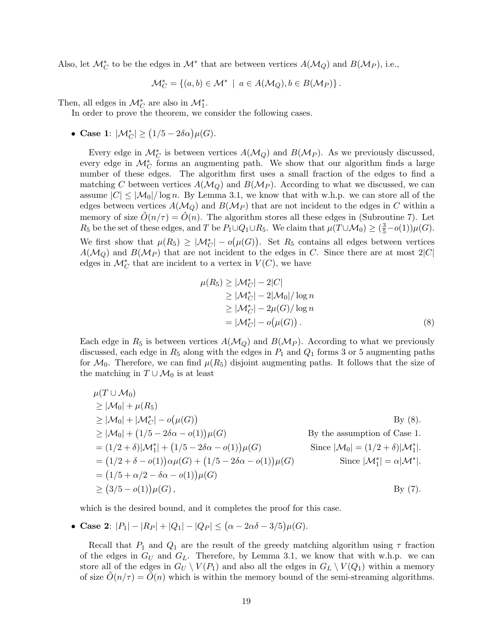Also, let  $\mathcal{M}_{C}^{*}$  to be the edges in  $\mathcal{M}^{*}$  that are between vertices  $A(\mathcal{M}_{Q})$  and  $B(\mathcal{M}_{P})$ , i.e.,

$$
\mathcal{M}_C^* = \{(a, b) \in \mathcal{M}^* \mid a \in A(\mathcal{M}_Q), b \in B(\mathcal{M}_P) \}.
$$

Then, all edges in  $\mathcal{M}_{C}^{*}$  are also in  $\mathcal{M}_{1}^{*}$ .

In order to prove the theorem, we consider the following cases.

• Case 1:  $|\mathcal{M}_C^*| \ge (1/5 - 2\delta\alpha)\mu(G)$ .

Every edge in  $\mathcal{M}_{C}^{*}$  is between vertices  $A(\mathcal{M}_{Q})$  and  $B(\mathcal{M}_{P})$ . As we previously discussed, every edge in  $\mathcal{M}_{\mathbb{C}}^*$  forms an augmenting path. We show that our algorithm finds a large number of these edges. The algorithm first uses a small fraction of the edges to find a matching C between vertices  $A(\mathcal{M}_{\mathcal{Q}})$  and  $B(\mathcal{M}_{P})$ . According to what we discussed, we can assume  $|C| \leq |\mathcal{M}_0|/\log n$ . By Lemma [3.1,](#page-4-1) we know that with w.h.p. we can store all of the edges between vertices  $A(\mathcal{M}_{\mathcal{Q}})$  and  $B(\mathcal{M}_{\mathcal{P}})$  that are not incident to the edges in C within a memory of size  $\tilde{O}(n/\tau) = \tilde{O}(n)$ . The algorithm stores all these edges in (Subroutine 7). Let  $R_5$  be the set of these edges, and T be  $P_1 \cup Q_1 \cup R_5$ . We claim that  $\mu(T \cup M_0) \geq (\frac{3}{5} - o(1))\mu(G)$ . We first show that  $\mu(R_5) \geq |\mathcal{M}_C^*| - o(\mu(G))$ . Set  $R_5$  contains all edges between vertices  $A(\mathcal{M}_{Q})$  and  $B(\mathcal{M}_{P})$  that are not incident to the edges in C. Since there are at most  $2|C|$ edges in  $\mathcal{M}_{C}^{*}$  that are incident to a vertex in  $V(C)$ , we have

<span id="page-18-0"></span>
$$
\mu(R_5) \ge |\mathcal{M}_C^*| - 2|C|
$$
  
\n
$$
\ge |\mathcal{M}_C^*| - 2|\mathcal{M}_0|/\log n
$$
  
\n
$$
\ge |\mathcal{M}_C^*| - 2\mu(G)/\log n
$$
  
\n
$$
= |\mathcal{M}_C^*| - o(\mu(G)).
$$
\n(8)

Each edge in  $R_5$  is between vertices  $A(\mathcal{M}_O)$  and  $B(\mathcal{M}_P)$ . According to what we previously discussed, each edge in  $R_5$  along with the edges in  $P_1$  and  $Q_1$  forms 3 or 5 augmenting paths for  $\mathcal{M}_0$ . Therefore, we can find  $\mu(R_5)$  disjoint augmenting paths. It follows that the size of the matching in  $T \cup \mathcal{M}_0$  is at least

$$
\mu(T \cup M_0)
$$
  
\n
$$
\geq |M_0| + \mu(R_5)
$$
  
\n
$$
\geq |M_0| + |M_C^*| - o(\mu(G))
$$
  
\n
$$
\geq |M_0| + (1/5 - 2\delta\alpha - o(1))\mu(G)
$$
  
\n
$$
= (1/2 + \delta)|M_1^*| + (1/5 - 2\delta\alpha - o(1))\mu(G)
$$
  
\n
$$
= (1/2 + \delta - o(1))\alpha\mu(G) + (1/5 - 2\delta\alpha - o(1))\mu(G)
$$
  
\n
$$
= (1/5 + \alpha/2 - \delta\alpha - o(1))\mu(G)
$$
  
\n
$$
\geq (3/5 - o(1))\mu(G),
$$
  
\n
$$
= (3/5 - o(1))\mu(G),
$$
  
\nBy the assumption of Case 1.  
\nSince  $|M_0| = (1/2 + \delta)|M_1^*|$ .  
\nSince  $|M_1^*| = \alpha|M^*|$ .  
\nBy (7).

which is the desired bound, and it completes the proof for this case.

• Case 2: 
$$
|P_1| - |R_P| + |Q_1| - |Q_P| \leq (\alpha - 2\alpha\delta - 3/5)\mu(G).
$$

Recall that  $P_1$  and  $Q_1$  are the result of the greedy matching algorithm using  $\tau$  fraction of the edges in  $G_U$  and  $G_L$ . Therefore, by Lemma [3.1,](#page-4-1) we know that with w.h.p. we can store all of the edges in  $G_U \setminus V(P_1)$  and also all the edges in  $G_L \setminus V(Q_1)$  within a memory of size  $O(n/\tau) = O(n)$  which is within the memory bound of the semi-streaming algorithms.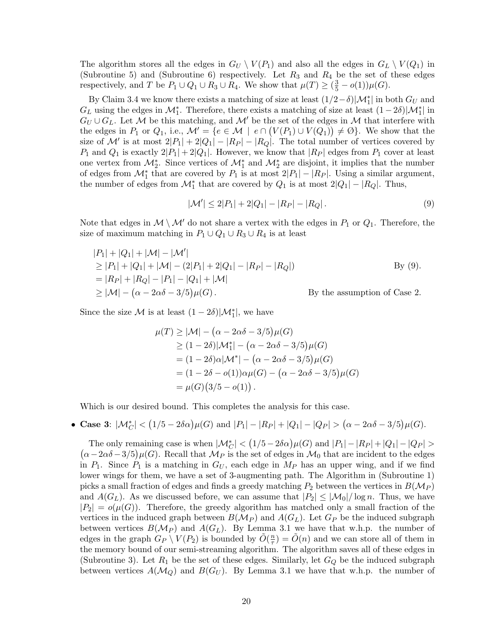The algorithm stores all the edges in  $G_U \setminus V(P_1)$  and also all the edges in  $G_L \setminus V(Q_1)$  in (Subroutine 5) and (Subroutine 6) respectively. Let  $R_3$  and  $R_4$  be the set of these edges respectively, and T be  $P_1 \cup Q_1 \cup R_3 \cup R_4$ . We show that  $\mu(T) \geq (\frac{3}{5} - o(1))\mu(G)$ .

By Claim [3.4](#page-11-0) we know there exists a matching of size at least  $(1/2 - \delta)|\mathcal{M}_1^*|$  in both  $G_U$  and  $G_L$  using the edges in  $\mathcal{M}_1^*$ . Therefore, there exists a matching of size at least  $(1-2\delta)|\mathcal{M}_1^*|$  in  $G_U \cup G_L$ . Let M be this matching, and M' be the set of the edges in M that interfere with the edges in  $P_1$  or  $Q_1$ , i.e.,  $\mathcal{M}' = \{e \in \mathcal{M} \mid e \cap (V(P_1) \cup V(Q_1)) \neq \emptyset\}$ . We show that the size of M' is at most  $2|P_1| + 2|Q_1| - |R_P| - |R_Q|$ . The total number of vertices covered by  $P_1$  and  $Q_1$  is exactly  $2|P_1| + 2|Q_1|$ . However, we know that  $|R_P|$  edges from  $P_1$  cover at least one vertex from  $\mathcal{M}_2^*$ . Since vertices of  $\mathcal{M}_1^*$  and  $\mathcal{M}_2^*$  are disjoint, it implies that the number of edges from  $\mathcal{M}_1^*$  that are covered by  $P_1$  is at most  $2|P_1| - |R_P|$ . Using a similar argument, the number of edges from  $\mathcal{M}_1^*$  that are covered by  $Q_1$  is at most  $2|Q_1| - |R_Q|$ . Thus,

<span id="page-19-0"></span>
$$
|\mathcal{M}'| \le 2|P_1| + 2|Q_1| - |R_P| - |R_Q|.
$$
\n(9)

Note that edges in  $M \setminus M'$  do not share a vertex with the edges in  $P_1$  or  $Q_1$ . Therefore, the size of maximum matching in  $P_1 \cup Q_1 \cup R_3 \cup R_4$  is at least

$$
|P_1| + |Q_1| + |\mathcal{M}| - |\mathcal{M}'|
$$
  
\n
$$
\geq |P_1| + |Q_1| + |\mathcal{M}| - (2|P_1| + 2|Q_1| - |R_P| - |R_Q|)
$$
  
\n
$$
= |R_P| + |R_Q| - |P_1| - |Q_1| + |\mathcal{M}|
$$
  
\n
$$
\geq |\mathcal{M}| - (\alpha - 2\alpha\delta - 3/5)\mu(G).
$$
 By the assumption of Case 2.

Since the size  $\mathcal M$  is at least  $(1-2\delta)|\mathcal M_1^*|$ , we have

$$
\mu(T) \ge |\mathcal{M}| - (\alpha - 2\alpha\delta - 3/5)\mu(G)
$$
  
\n
$$
\ge (1 - 2\delta)|\mathcal{M}_1^*| - (\alpha - 2\alpha\delta - 3/5)\mu(G)
$$
  
\n
$$
= (1 - 2\delta)\alpha|\mathcal{M}^*| - (\alpha - 2\alpha\delta - 3/5)\mu(G)
$$
  
\n
$$
= (1 - 2\delta - o(1))\alpha\mu(G) - (\alpha - 2\alpha\delta - 3/5)\mu(G)
$$
  
\n
$$
= \mu(G)(3/5 - o(1)).
$$

Which is our desired bound. This completes the analysis for this case.

• Case 3:  $|\mathcal{M}_C^*| < (1/5 - 2\delta\alpha)\mu(G)$  and  $|P_1| - |R_P| + |Q_1| - |Q_P| > (\alpha - 2\alpha\delta - 3/5)\mu(G)$ .

The only remaining case is when  $|\mathcal{M}_C^*| < (1/5 - 2\delta\alpha)\mu(G)$  and  $|P_1| - |R_P| + |Q_1| - |Q_P| >$  $(\alpha-2\alpha\delta-3/5)\mu(G)$ . Recall that  $\mathcal{M}_P$  is the set of edges in  $\mathcal{M}_0$  that are incident to the edges in  $P_1$ . Since  $P_1$  is a matching in  $G_U$ , each edge in  $M_P$  has an upper wing, and if we find lower wings for them, we have a set of 3-augmenting path. The Algorithm in (Subroutine 1) picks a small fraction of edges and finds a greedy matching  $P_2$  between the vertices in  $B(\mathcal{M}_P)$ and  $A(G_L)$ . As we discussed before, we can assume that  $|P_2| \leq |\mathcal{M}_0|/\log n$ . Thus, we have  $|P_2| = o(\mu(G))$ . Therefore, the greedy algorithm has matched only a small fraction of the vertices in the induced graph between  $B(\mathcal{M}_P)$  and  $A(G_L)$ . Let  $G_P$  be the induced subgraph between vertices  $B(\mathcal{M}_P)$  and  $A(G_L)$ . By Lemma [3.1](#page-4-1) we have that w.h.p. the number of edges in the graph  $G_P \setminus V(P_2)$  is bounded by  $\tilde{O}(\frac{n}{\tau})$  $(\frac{n}{\tau}) = \tilde{O}(n)$  and we can store all of them in the memory bound of our semi-streaming algorithm. The algorithm saves all of these edges in (Subroutine 3). Let  $R_1$  be the set of these edges. Similarly, let  $G_Q$  be the induced subgraph between vertices  $A(\mathcal{M}_Q)$  and  $B(G_U)$ . By Lemma [3.1](#page-4-1) we have that w.h.p. the number of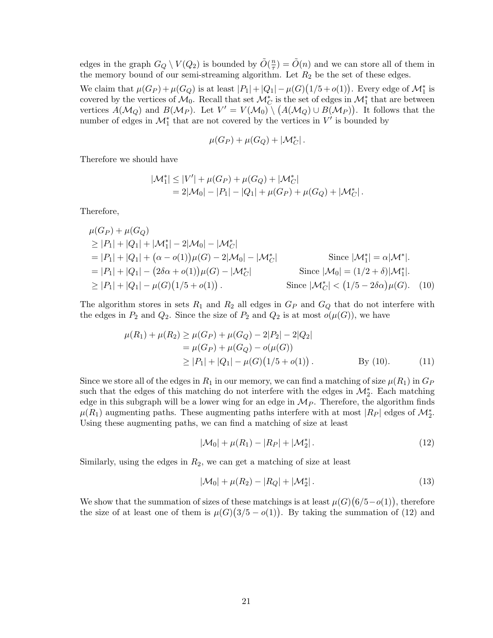edges in the graph  $G_Q \setminus V(Q_2)$  is bounded by  $\tilde{O}(\frac{n}{\tau})$  $(\frac{n}{\tau}) = \tilde{O}(n)$  and we can store all of them in the memory bound of our semi-streaming algorithm. Let  $R_2$  be the set of these edges.

We claim that  $\mu(G_P) + \mu(G_Q)$  is at least  $|P_1| + |Q_1| - \mu(G)(1/5 + o(1))$ . Every edge of  $\mathcal{M}_1^*$  is covered by the vertices of  $\mathcal{M}_0$ . Recall that set  $\mathcal{M}_C^*$  is the set of edges in  $\mathcal{M}_1^*$  that are between vertices  $A(\mathcal{M}_Q)$  and  $B(\mathcal{M}_P)$ . Let  $V' = V(\mathcal{M}_0) \setminus (A(\mathcal{M}_Q) \cup B(\mathcal{M}_P))$ . It follows that the number of edges in  $\mathcal{M}_1^*$  that are not covered by the vertices in  $V'$  is bounded by

<span id="page-20-0"></span>
$$
\mu(G_P) + \mu(G_Q) + |\mathcal{M}_C^*|.
$$

Therefore we should have

$$
|\mathcal{M}_{1}^{*}| \leq |V'| + \mu(G_{P}) + \mu(G_{Q}) + |\mathcal{M}_{C}^{*}|
$$
  
= 2|\mathcal{M}\_{0}| - |P\_{1}| - |Q\_{1}| + \mu(G\_{P}) + \mu(G\_{Q}) + |\mathcal{M}\_{C}^{\*}|.

Therefore,

$$
\mu(G_P) + \mu(G_Q)
$$
  
\n
$$
\geq |P_1| + |Q_1| + |\mathcal{M}_1^*| - 2|\mathcal{M}_0| - |\mathcal{M}_C^*|
$$
  
\n
$$
= |P_1| + |Q_1| + (\alpha - o(1))\mu(G) - 2|\mathcal{M}_0| - |\mathcal{M}_C^*|
$$
  
\n
$$
= |P_1| + |Q_1| - (2\delta\alpha + o(1))\mu(G) - |\mathcal{M}_C^*|
$$
  
\n
$$
\geq |P_1| + |Q_1| - \mu(G)(1/5 + o(1)).
$$
  
\nSince  $|\mathcal{M}_0^*| < (1/5 - 2\delta\alpha)\mu(G)$ . (10)

The algorithm stores in sets  $R_1$  and  $R_2$  all edges in  $G_P$  and  $G_Q$  that do not interfere with the edges in  $P_2$  and  $Q_2$ . Since the size of  $P_2$  and  $Q_2$  is at most  $o(\mu(G))$ , we have

$$
\mu(R_1) + \mu(R_2) \ge \mu(G_P) + \mu(G_Q) - 2|P_2| - 2|Q_2|
$$
  
=  $\mu(G_P) + \mu(G_Q) - o(\mu(G))$   
 $\ge |P_1| + |Q_1| - \mu(G)(1/5 + o(1)).$  By (10). (11)

Since we store all of the edges in  $R_1$  in our memory, we can find a matching of size  $\mu(R_1)$  in  $G_P$ such that the edges of this matching do not interfere with the edges in  $\mathcal{M}_2^*$ . Each matching edge in this subgraph will be a lower wing for an edge in  $\mathcal{M}_P$ . Therefore, the algorithm finds  $\mu(R_1)$  augmenting paths. These augmenting paths interfere with at most  $|R_P|$  edges of  $\mathcal{M}_2^*$ . Using these augmenting paths, we can find a matching of size at least

<span id="page-20-3"></span><span id="page-20-1"></span>
$$
|\mathcal{M}_0| + \mu(R_1) - |R_P| + |\mathcal{M}_2^*|.
$$
 (12)

Similarly, using the edges in  $R_2$ , we can get a matching of size at least

<span id="page-20-2"></span>
$$
|\mathcal{M}_0| + \mu(R_2) - |R_Q| + |\mathcal{M}_2^*|.
$$
\n(13)

We show that the summation of sizes of these matchings is at least  $\mu(G)(6/5-o(1))$ , therefore the size of at least one of them is  $\mu(G)(3/5 - o(1))$ . By taking the summation of [\(12\)](#page-20-1) and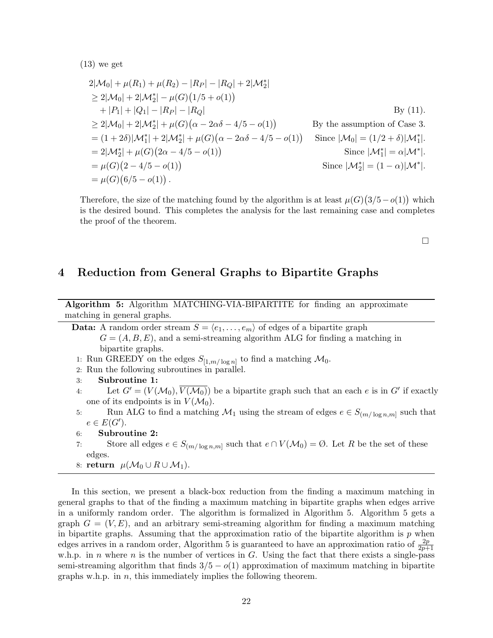$(13)$  we get

$$
2|\mathcal{M}_0| + \mu(R_1) + \mu(R_2) - |R_P| - |R_Q| + 2|\mathcal{M}_2^*|
$$
  
\n
$$
\geq 2|\mathcal{M}_0| + 2|\mathcal{M}_2^*| - \mu(G)(1/5 + o(1))
$$
  
\n
$$
+ |P_1| + |Q_1| - |R_P| - |R_Q|
$$
  
\n
$$
\geq 2|\mathcal{M}_0| + 2|\mathcal{M}_2^*| + \mu(G)(\alpha - 2\alpha\delta - 4/5 - o(1))
$$
  
\n
$$
= (1 + 2\delta)|\mathcal{M}_1^*| + 2|\mathcal{M}_2^*| + \mu(G)(\alpha - 2\alpha\delta - 4/5 - o(1))
$$
  
\n
$$
= 2|\mathcal{M}_2^*| + \mu(G)(2\alpha - 4/5 - o(1))
$$
  
\n
$$
= \mu(G)(2 - 4/5 - o(1))
$$
  
\n
$$
= \mu(G)(6/5 - o(1)).
$$
  
\nSince  $|\mathcal{M}_2^*| = (1 - \alpha)|\mathcal{M}^*|$ .

Therefore, the size of the matching found by the algorithm is at least  $\mu(G)(3/5-o(1))$  which is the desired bound. This completes the analysis for the last remaining case and completes the proof of the theorem.

 $\Box$ 

### 4 Reduction from General Graphs to Bipartite Graphs

Algorithm 5: Algorithm MATCHING-VIA-BIPARTITE for finding an approximate matching in general graphs.

- **Data:** A random order stream  $S = \langle e_1, \ldots, e_m \rangle$  of edges of a bipartite graph  $G = (A, B, E)$ , and a semi-streaming algorithm ALG for finding a matching in bipartite graphs. 1: Run GREEDY on the edges  $S_{[1,m/\log n]}$  to find a matching  $\mathcal{M}_0$ .
- 2: Run the following subroutines in parallel.
- 3: Subroutine 1:
- 4: Let  $G' = (V(\mathcal{M}_0), \overline{V(\mathcal{M}_0)})$  be a bipartite graph such that an each e is in G' if exactly one of its endpoints is in  $V(\mathcal{M}_0)$ .
- 5: Run ALG to find a matching  $\mathcal{M}_1$  using the stream of edges  $e \in S_{(m/\log n,m]}$  such that  $e \in E(G')$ .
- 6: Subroutine 2:
- 7: Store all edges  $e \in S_{(m/\log n,m]}$  such that  $e \cap V(\mathcal{M}_0) = \emptyset$ . Let R be the set of these edges.
- <span id="page-21-0"></span>8: return  $\mu(\mathcal{M}_0 \cup R \cup \mathcal{M}_1)$ .

In this section, we present a black-box reduction from the finding a maximum matching in general graphs to that of the finding a maximum matching in bipartite graphs when edges arrive in a uniformly random order. The algorithm is formalized in Algorithm [5.](#page-21-0) Algorithm [5](#page-21-0) gets a graph  $G = (V, E)$ , and an arbitrary semi-streaming algorithm for finding a maximum matching in bipartite graphs. Assuming that the approximation ratio of the bipartite algorithm is  $p$  when edges arrives in a random order, Algorithm [5](#page-21-0) is guaranteed to have an approximation ratio of  $\frac{2p}{2p+1}$ w.h.p. in n where n is the number of vertices in G. Using the fact that there exists a single-pass semi-streaming algorithm that finds  $3/5 - o(1)$  approximation of maximum matching in bipartite graphs w.h.p. in  $n$ , this immediately implies the following theorem.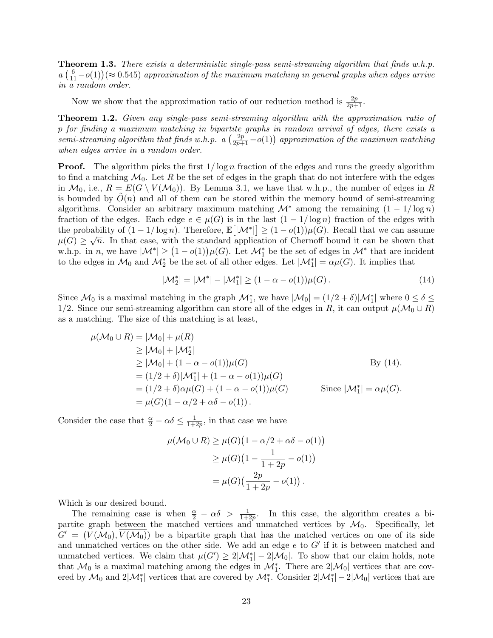**Theorem 1.3.** There exists a deterministic single-pass semi-streaming algorithm that finds w.h.p.  $a\left(\frac{6}{11}-o(1)\right)$  ( $\approx 0.545$ ) approximation of the maximum matching in general graphs when edges arrive in a random order.

Now we show that the approximation ratio of our reduction method is  $\frac{2p}{2p+1}$ .

Theorem 1.2. Given any single-pass semi-streaming algorithm with the approximation ratio of p for finding a maximum matching in bipartite graphs in random arrival of edges, there exists a  $semi-streaming algorithm that finds w.h.p.$   $a\left(\frac{2p}{2p+1}-o(1)\right)$  approximation of the maximum matching when edges arrive in a random order.

**Proof.** The algorithm picks the first  $1/\log n$  fraction of the edges and runs the greedy algorithm to find a matching  $\mathcal{M}_0$ . Let R be the set of edges in the graph that do not interfere with the edges in  $\mathcal{M}_0$ , i.e.,  $R = E(G \setminus V(\mathcal{M}_0))$ . By Lemma [3.1,](#page-4-1) we have that w.h.p., the number of edges in R is bounded by  $O(n)$  and all of them can be stored within the memory bound of semi-streaming algorithms. Consider an arbitrary maximum matching  $\mathcal{M}^*$  among the remaining  $(1 - 1/\log n)$ fraction of the edges. Each edge  $e \in \mu(G)$  is in the last  $(1 - 1/\log n)$  fraction of the edges with the probability of  $(1 - 1/\log n)$ . Therefore,  $\mathbb{E}[|\mathcal{M}^*|] \geq (1 - o(1))\mu(G)$ . Recall that we can assume  $\mu(G) \geq \sqrt{n}$ . In that case, with the standard application of Chernoff bound it can be shown that w.h.p. in n, we have  $|\mathcal{M}^*| \ge (1 - o(1))\mu(G)$ . Let  $\mathcal{M}_1^*$  be the set of edges in  $\mathcal{M}^*$  that are incident to the edges in  $\mathcal{M}_0$  and  $\mathcal{M}_2^*$  be the set of all other edges. Let  $|\mathcal{M}_1^*| = \alpha \mu(G)$ . It implies that

<span id="page-22-0"></span>
$$
|\mathcal{M}_2^*| = |\mathcal{M}^*| - |\mathcal{M}_1^*| \ge (1 - \alpha - o(1))\mu(G).
$$
 (14)

Since  $\mathcal{M}_0$  is a maximal matching in the graph  $\mathcal{M}_1^*$ , we have  $|\mathcal{M}_0| = (1/2 + \delta)|\mathcal{M}_1^*|$  where  $0 \le \delta \le$ 1/2. Since our semi-streaming algorithm can store all of the edges in R, it can output  $\mu(\mathcal{M}_0 \cup R)$ as a matching. The size of this matching is at least,

$$
\mu(\mathcal{M}_0 \cup R) = |\mathcal{M}_0| + \mu(R)
$$
\n
$$
\geq |\mathcal{M}_0| + |\mathcal{M}_2^*|
$$
\n
$$
\geq |\mathcal{M}_0| + (1 - \alpha - o(1))\mu(G)
$$
\n
$$
= (1/2 + \delta)|\mathcal{M}_1^*| + (1 - \alpha - o(1))\mu(G)
$$
\n
$$
= (1/2 + \delta)\alpha\mu(G) + (1 - \alpha - o(1))\mu(G)
$$
\nSince  $|\mathcal{M}_1^*| = \alpha\mu(G)$ .  
\n
$$
= \mu(G)(1 - \alpha/2 + \alpha\delta - o(1)).
$$

Consider the case that  $\frac{\alpha}{2} - \alpha \delta \leq \frac{1}{1+\epsilon}$  $\frac{1}{1+2p}$ , in that case we have

$$
\mu(\mathcal{M}_0 \cup R) \ge \mu(G) \left(1 - \alpha/2 + \alpha \delta - o(1)\right)
$$
  
\n
$$
\ge \mu(G) \left(1 - \frac{1}{1 + 2p} - o(1)\right)
$$
  
\n
$$
= \mu(G) \left(\frac{2p}{1 + 2p} - o(1)\right).
$$

Which is our desired bound.

The remaining case is when  $\frac{\alpha}{2} - \alpha \delta > \frac{1}{1+2p}$ . In this case, the algorithm creates a bipartite graph between the matched vertices and unmatched vertices by  $\mathcal{M}_0$ . Specifically, let  $G' = (V(\mathcal{M}_0), V(\mathcal{M}_0))$  be a bipartite graph that has the matched vertices on one of its side and unmatched vertices on the other side. We add an edge  $e$  to  $G'$  if it is between matched and unmatched vertices. We claim that  $\mu(G') \geq 2|\mathcal{M}_1^*| - 2|\mathcal{M}_0|$ . To show that our claim holds, note that  $\mathcal{M}_0$  is a maximal matching among the edges in  $\mathcal{M}_1^*$ . There are 2| $\mathcal{M}_0$ | vertices that are covered by  $\mathcal{M}_0$  and  $2|\mathcal{M}_1^*|$  vertices that are covered by  $\mathcal{M}_1^*$ . Consider  $2|\mathcal{M}_1^*| - 2|\mathcal{M}_0|$  vertices that are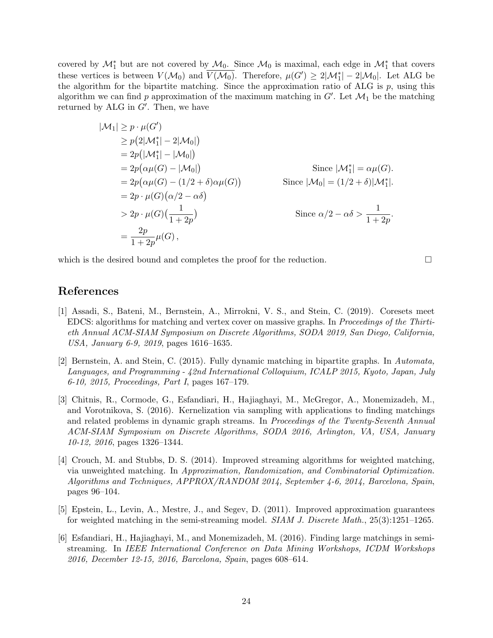covered by  $\mathcal{M}_1^*$  but are not covered by  $\mathcal{M}_0$ . Since  $\mathcal{M}_0$  is maximal, each edge in  $\mathcal{M}_1^*$  that covers these vertices is between  $V(\mathcal{M}_0)$  and  $\overline{V(\mathcal{M}_0)}$ . Therefore,  $\mu(G') \geq 2|\mathcal{M}_1^*| - 2|\mathcal{M}_0|$ . Let ALG be the algorithm for the bipartite matching. Since the approximation ratio of ALG is  $p$ , using this algorithm we can find p approximation of the maximum matching in  $G'$ . Let  $\mathcal{M}_1$  be the matching returned by  $ALG$  in  $G'$ . Then, we have

$$
|\mathcal{M}_1| \ge p \cdot \mu(G')
$$
  
\n
$$
\ge p(2|\mathcal{M}_1^*|-2|\mathcal{M}_0|)
$$
  
\n
$$
= 2p(|\mathcal{M}_1^*|-|\mathcal{M}_0|)
$$
  
\n
$$
= 2p(\alpha\mu(G) - |\mathcal{M}_0|)
$$
  
\n
$$
= 2p(\alpha\mu(G) - (1/2 + \delta)\alpha\mu(G))
$$
  
\n
$$
= 2p \cdot \mu(G)(\alpha/2 - \alpha\delta)
$$
  
\n
$$
> 2p \cdot \mu(G)(\frac{1}{1+2p})
$$
  
\nSince  $|\mathcal{M}_0| = (1/2 + \delta)|\mathcal{M}_1^*|$ .  
\nSince  $\alpha/2 - \alpha\delta > \frac{1}{1+2p}$ .  
\n
$$
= \frac{2p}{1+2p}\mu(G),
$$

which is the desired bound and completes the proof for the reduction.

# References

- <span id="page-23-0"></span>[1] Assadi, S., Bateni, M., Bernstein, A., Mirrokni, V. S., and Stein, C. (2019). Coresets meet EDCS: algorithms for matching and vertex cover on massive graphs. In Proceedings of the Thirtieth Annual ACM-SIAM Symposium on Discrete Algorithms, SODA 2019, San Diego, California, USA, January 6-9, 2019, pages 1616–1635.
- <span id="page-23-1"></span>[2] Bernstein, A. and Stein, C. (2015). Fully dynamic matching in bipartite graphs. In Automata, Languages, and Programming - 42nd International Colloquium, ICALP 2015, Kyoto, Japan, July 6-10, 2015, Proceedings, Part I, pages 167–179.
- <span id="page-23-5"></span>[3] Chitnis, R., Cormode, G., Esfandiari, H., Hajiaghayi, M., McGregor, A., Monemizadeh, M., and Vorotnikova, S. (2016). Kernelization via sampling with applications to finding matchings and related problems in dynamic graph streams. In Proceedings of the Twenty-Seventh Annual ACM-SIAM Symposium on Discrete Algorithms, SODA 2016, Arlington, VA, USA, January 10-12, 2016, pages 1326–1344.
- <span id="page-23-3"></span>[4] Crouch, M. and Stubbs, D. S. (2014). Improved streaming algorithms for weighted matching, via unweighted matching. In Approximation, Randomization, and Combinatorial Optimization. Algorithms and Techniques, APPROX/RANDOM 2014, September 4-6, 2014, Barcelona, Spain, pages 96–104.
- <span id="page-23-2"></span>[5] Epstein, L., Levin, A., Mestre, J., and Segev, D. (2011). Improved approximation guarantees for weighted matching in the semi-streaming model. SIAM J. Discrete Math., 25(3):1251–1265.
- <span id="page-23-4"></span>[6] Esfandiari, H., Hajiaghayi, M., and Monemizadeh, M. (2016). Finding large matchings in semistreaming. In IEEE International Conference on Data Mining Workshops, ICDM Workshops 2016, December 12-15, 2016, Barcelona, Spain, pages 608–614.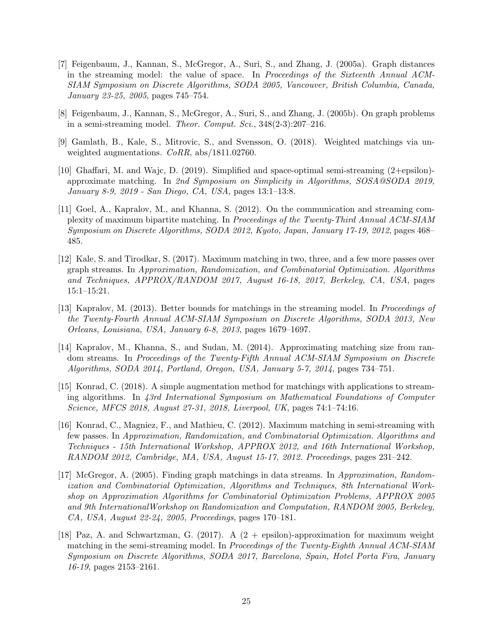- <span id="page-24-2"></span>[7] Feigenbaum, J., Kannan, S., McGregor, A., Suri, S., and Zhang, J. (2005a). Graph distances in the streaming model: the value of space. In Proceedings of the Sixteenth Annual ACM-SIAM Symposium on Discrete Algorithms, SODA 2005, Vancouver, British Columbia, Canada, January 23-25, 2005, pages 745–754.
- <span id="page-24-7"></span>[8] Feigenbaum, J., Kannan, S., McGregor, A., Suri, S., and Zhang, J. (2005b). On graph problems in a semi-streaming model. Theor. Comput. Sci., 348(2-3):207–216.
- <span id="page-24-1"></span>[9] Gamlath, B., Kale, S., Mitrovic, S., and Svensson, O. (2018). Weighted matchings via unweighted augmentations. CoRR, abs/1811.02760.
- <span id="page-24-10"></span>[10] Ghaffari, M. and Wajc, D. (2019). Simplified and space-optimal semi-streaming (2+epsilon) approximate matching. In 2nd Symposium on Simplicity in Algorithms, SOSA@SODA 2019, January 8-9, 2019 - San Diego, CA, USA, pages 13:1–13:8.
- <span id="page-24-5"></span>[11] Goel, A., Kapralov, M., and Khanna, S. (2012). On the communication and streaming complexity of maximum bipartite matching. In Proceedings of the Twenty-Third Annual ACM-SIAM Symposium on Discrete Algorithms, SODA 2012, Kyoto, Japan, January 17-19, 2012, pages 468– 485.
- <span id="page-24-11"></span>[12] Kale, S. and Tirodkar, S. (2017). Maximum matching in two, three, and a few more passes over graph streams. In Approximation, Randomization, and Combinatorial Optimization. Algorithms and Techniques, APPROX/RANDOM 2017, August 16-18, 2017, Berkeley, CA, USA, pages 15:1–15:21.
- <span id="page-24-6"></span>[13] Kapralov, M. (2013). Better bounds for matchings in the streaming model. In Proceedings of the Twenty-Fourth Annual ACM-SIAM Symposium on Discrete Algorithms, SODA 2013, New Orleans, Louisiana, USA, January 6-8, 2013, pages 1679–1697.
- <span id="page-24-3"></span>[14] Kapralov, M., Khanna, S., and Sudan, M. (2014). Approximating matching size from random streams. In Proceedings of the Twenty-Fifth Annual ACM-SIAM Symposium on Discrete Algorithms, SODA 2014, Portland, Oregon, USA, January 5-7, 2014, pages 734–751.
- <span id="page-24-0"></span>[15] Konrad, C. (2018). A simple augmentation method for matchings with applications to streaming algorithms. In 43rd International Symposium on Mathematical Foundations of Computer Science, MFCS 2018, August 27-31, 2018, Liverpool, UK, pages 74:1–74:16.
- <span id="page-24-4"></span>[16] Konrad, C., Magniez, F., and Mathieu, C. (2012). Maximum matching in semi-streaming with few passes. In Approximation, Randomization, and Combinatorial Optimization. Algorithms and Techniques - 15th International Workshop, APPROX 2012, and 16th International Workshop, RANDOM 2012, Cambridge, MA, USA, August 15-17, 2012. Proceedings, pages 231–242.
- <span id="page-24-8"></span>[17] McGregor, A. (2005). Finding graph matchings in data streams. In Approximation, Randomization and Combinatorial Optimization, Algorithms and Techniques, 8th International Workshop on Approximation Algorithms for Combinatorial Optimization Problems, APPROX 2005 and 9th InternationalWorkshop on Randomization and Computation, RANDOM 2005, Berkeley, CA, USA, August 22-24, 2005, Proceedings, pages 170–181.
- <span id="page-24-9"></span>[18] Paz, A. and Schwartzman, G. (2017). A (2 + epsilon)-approximation for maximum weight matching in the semi-streaming model. In *Proceedings of the Twenty-Eighth Annual ACM-SIAM* Symposium on Discrete Algorithms, SODA 2017, Barcelona, Spain, Hotel Porta Fira, January 16-19, pages 2153–2161.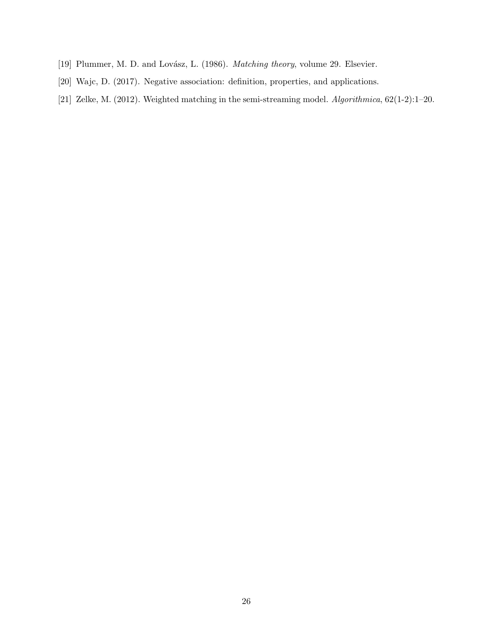- <span id="page-25-0"></span>[19] Plummer, M. D. and Lovász, L. (1986). *Matching theory, volume 29*. Elsevier.
- <span id="page-25-2"></span>[20] Wajc, D. (2017). Negative association: definition, properties, and applications.
- <span id="page-25-1"></span>[21] Zelke, M. (2012). Weighted matching in the semi-streaming model. Algorithmica, 62(1-2):1–20.